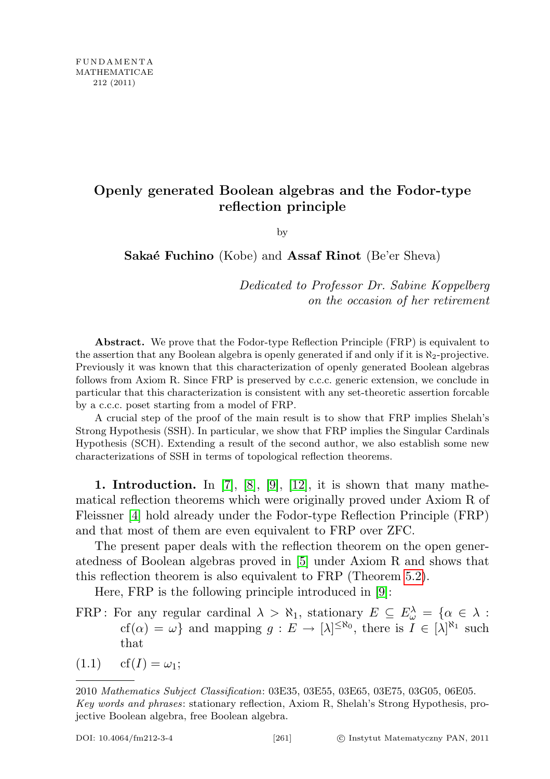## Openly generated Boolean algebras and the Fodor-type reflection principle

by

Sakaé Fuchino (Kobe) and Assaf Rinot (Be'er Sheva)

Dedicated to Professor Dr. Sabine Koppelberg on the occasion of her retirement

Abstract. We prove that the Fodor-type Reflection Principle (FRP) is equivalent to the assertion that any Boolean algebra is openly generated if and only if it is  $\aleph_2$ -projective. Previously it was known that this characterization of openly generated Boolean algebras follows from Axiom R. Since FRP is preserved by c.c.c. generic extension, we conclude in particular that this characterization is consistent with any set-theoretic assertion forcable by a c.c.c. poset starting from a model of FRP.

A crucial step of the proof of the main result is to show that FRP implies Shelah's Strong Hypothesis (SSH). In particular, we show that FRP implies the Singular Cardinals Hypothesis (SCH). Extending a result of the second author, we also establish some new characterizations of SSH in terms of topological reflection theorems.

1. Introduction. In [\[7\]](#page-21-0), [\[8\]](#page-21-1), [\[9\]](#page-22-0), [\[12\]](#page-22-1), it is shown that many mathematical reflection theorems which were originally proved under Axiom R of Fleissner [\[4\]](#page-21-2) hold already under the Fodor-type Reflection Principle (FRP) and that most of them are even equivalent to FRP over ZFC.

The present paper deals with the reflection theorem on the open generatedness of Boolean algebras proved in [\[5\]](#page-21-3) under Axiom R and shows that this reflection theorem is also equivalent to FRP (Theorem [5.2\)](#page-21-4).

Here, FRP is the following principle introduced in [\[9\]](#page-22-0):

- FRP: For any regular cardinal  $\lambda > \aleph_1$ , stationary  $E \subseteq E_{\omega}^{\lambda} = {\{\alpha \in \lambda : \lambda\}}$  $cf(\alpha) = \omega\}$  and mapping  $g: E \to |\lambda|^{\leq \aleph_0}$ , there is  $I \in |\lambda|^{ \aleph_1}$  such that
- <span id="page-0-0"></span> $(1.1)$  cf $(I) = \omega_1;$

<sup>2010</sup> Mathematics Subject Classification: 03E35, 03E55, 03E65, 03E75, 03G05, 06E05. Key words and phrases: stationary reflection, Axiom R, Shelah's Strong Hypothesis, projective Boolean algebra, free Boolean algebra.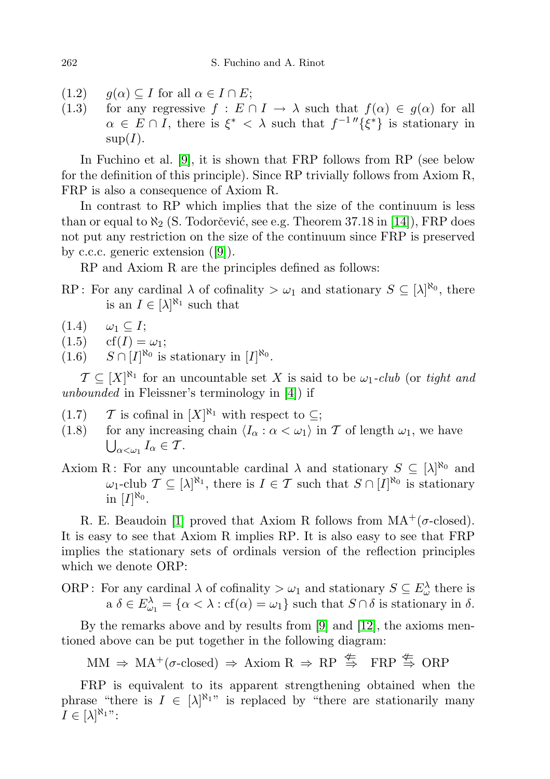- <span id="page-1-1"></span> $(1.2)$  g( $\alpha$ )  $\subset I$  for all  $\alpha \in I \cap E$ ;
- <span id="page-1-0"></span>(1.3) for any regressive  $f : E \cap I \to \lambda$  such that  $f(\alpha) \in g(\alpha)$  for all  $\alpha \in E \cap I$ , there is  $\xi^* < \lambda$  such that  $f^{-1}$ <sup>n</sup> $\{\xi^*\}$  is stationary in  $sup(I).$

In Fuchino et al. [\[9\]](#page-22-0), it is shown that FRP follows from RP (see below for the definition of this principle). Since RP trivially follows from Axiom R, FRP is also a consequence of Axiom R.

In contrast to RP which implies that the size of the continuum is less than or equal to  $\aleph_2$  (S. Todorčević, see e.g. Theorem 37.18 in [\[14\]](#page-22-2)), FRP does not put any restriction on the size of the continuum since FRP is preserved by c.c.c. generic extension ([\[9\]](#page-22-0)).

RP and Axiom R are the principles defined as follows:

- RP: For any cardinal  $\lambda$  of cofinality  $>\omega_1$  and stationary  $S \subseteq [\lambda]^{\aleph_0}$ , there is an  $I \in [\lambda]^{\aleph_1}$  such that
- $(1.4) \quad \omega_1 \subset I$ ;
- $(1.5)$  cf $(I) = \omega_1;$

 $(1.6)$   $S \cap [I]^{\aleph_0}$  is stationary in  $[I]^{\aleph_0}$ .

 $\mathcal{T} \subseteq [X]^{\aleph_1}$  for an uncountable set X is said to be  $\omega_1$ -club (or tight and unbounded in Fleissner's terminology in [\[4\]](#page-21-2)) if

- (1.7)  $\mathcal T$  is cofinal in  $[X]^{\aleph_1}$  with respect to  $\subseteq$ ;
- (1.8) for any increasing chain  $\langle I_{\alpha} : \alpha < \omega_1 \rangle$  in T of length  $\omega_1$ , we have  $\bigcup_{\alpha<\omega_1}I_\alpha\in\mathcal{T}.$

Axiom R: For any uncountable cardinal  $\lambda$  and stationary  $S \subseteq [\lambda]^{\aleph_0}$  and  $\omega_1$ -club  $\mathcal{T} \subseteq [\lambda]^{\aleph_1}$ , there is  $I \in \mathcal{T}$  such that  $S \cap [I]^{\aleph_0}$  is stationary in  $[I]^{\aleph_0}$ .

R. E. Beaudoin [\[1\]](#page-21-5) proved that Axiom R follows from  $MA^{+}(\sigma$ -closed). It is easy to see that Axiom R implies RP. It is also easy to see that FRP implies the stationary sets of ordinals version of the reflection principles which we denote ORP:

ORP: For any cardinal  $\lambda$  of cofinality  $>\omega_1$  and stationary  $S \subseteq E_\omega^\lambda$  there is  $a \delta \in E_{\omega_1}^{\lambda} = \{ \alpha < \lambda : cf(\alpha) = \omega_1 \}$  such that  $S \cap \delta$  is stationary in  $\delta$ .

By the remarks above and by results from [\[9\]](#page-22-0) and [\[12\]](#page-22-1), the axioms mentioned above can be put together in the following diagram:

 $MM \Rightarrow MA^+(\sigma\text{-closed}) \Rightarrow Axiom R \Rightarrow RP \stackrel{\#}{\Rightarrow} FRP \stackrel{\#}{\Rightarrow} ORP$ 

<span id="page-1-2"></span>FRP is equivalent to its apparent strengthening obtained when the phrase "there is  $I \in [\lambda]^{\aleph_1}$ " is replaced by "there are stationarily many  $I \in [\lambda]^{\aleph_1 \nu}$ :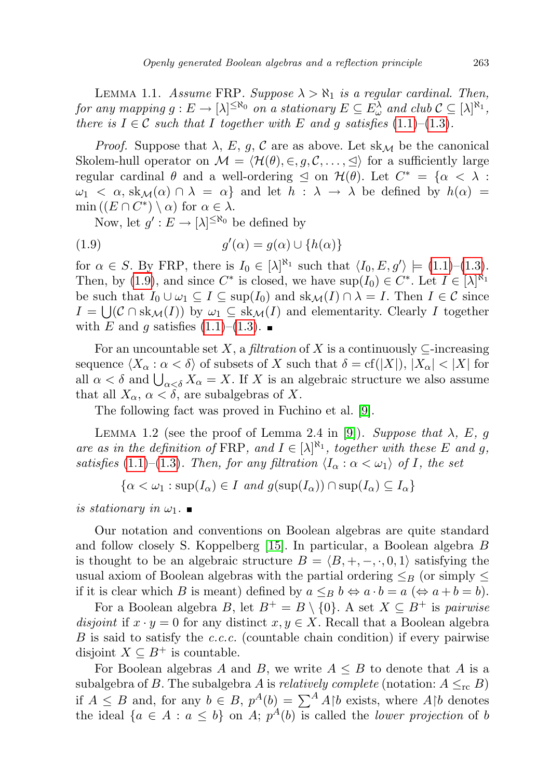LEMMA 1.1. Assume FRP. Suppose  $\lambda > \aleph_1$  is a regular cardinal. Then,  ${\it for\ any\ mapping}\ g: E \to [\lambda]^{\leq \aleph_0} \ \ on\ a\ stationary\ E \subseteq E^\lambda_\omega \ {\it and\ club}\ {\cal C} \subseteq [\lambda]^{\aleph_1},$ there is  $I \in \mathcal{C}$  such that I together with E and g satisfies [\(1.1\)](#page-0-0)–[\(1.3\)](#page-1-0).

*Proof.* Suppose that  $\lambda$ , E, g, C are as above. Let sk<sub>M</sub> be the canonical Skolem-hull operator on  $\mathcal{M} = \langle \mathcal{H}(\theta), \in, g, \mathcal{C}, \ldots, \preceq \rangle$  for a sufficiently large regular cardinal  $\theta$  and a well-ordering  $\leq$  on  $\mathcal{H}(\theta)$ . Let  $C^* = \{ \alpha < \lambda :$  $\omega_1 < \alpha$ , sk $\mathcal{M}(\alpha) \cap \lambda = \alpha$  and let  $h : \lambda \to \lambda$  be defined by  $h(\alpha) =$  $\min ((E \cap C^*) \setminus \alpha)$  for  $\alpha \in \lambda$ .

<span id="page-2-0"></span>Now, let  $g' : E \to [\lambda]^{\leq \aleph_0}$  be defined by

(1.9) 
$$
g'(\alpha) = g(\alpha) \cup \{h(\alpha)\}\
$$

for  $\alpha \in S$ . By FRP, there is  $I_0 \in [\lambda]^{\aleph_1}$  such that  $\langle I_0, E, g' \rangle \models (1.1)$  $\langle I_0, E, g' \rangle \models (1.1)$ – $(1.3)$ . Then, by [\(1.9\)](#page-2-0), and since  $C^*$  is closed, we have  $\sup(I_0) \in C^*$ . Let  $I \in [\lambda]^{N_1}$ be such that  $I_0 \cup \omega_1 \subseteq I \subseteq \text{sup}(I_0)$  and  $sk_{\mathcal{M}}(I) \cap \lambda = I$ . Then  $I \in \mathcal{C}$  since  $I = \bigcup (C \cap sk_{\mathcal{M}}(I))$  by  $\omega_1 \subseteq sk_{\mathcal{M}}(I)$  and elementarity. Clearly I together with E and g satisfies  $(1.1)$ – $(1.3)$ .

For an uncountable set X, a filtration of X is a continuously  $\subseteq$ -increasing sequence  $\langle X_\alpha : \alpha < \delta \rangle$  of subsets of X such that  $\delta = \text{cf}(|X|), |X_\alpha| < |X|$  for all  $\alpha < \delta$  and  $\bigcup_{\alpha < \delta} X_{\alpha} = X$ . If X is an algebraic structure we also assume that all  $X_{\alpha}$ ,  $\alpha < \delta$ , are subalgebras of X.

The following fact was proved in Fuchino et al. [\[9\]](#page-22-0).

<span id="page-2-1"></span>LEMMA 1.2 (see the proof of Lemma 2.4 in [\[9\]](#page-22-0)). Suppose that  $\lambda$ , E, g are as in the definition of FRP, and  $I \in [\lambda]^{\aleph_1}$ , together with these E and g, satisfies [\(1.1\)](#page-0-0)–[\(1.3\)](#page-1-0). Then, for any filtration  $\langle I_{\alpha} : \alpha < \omega_1 \rangle$  of I, the set

 $\{\alpha < \omega_1 : \sup(I_\alpha) \in I \text{ and } g(\sup(I_\alpha)) \cap \sup(I_\alpha) \subseteq I_\alpha\}$ 

is stationary in  $\omega_1$ .

Our notation and conventions on Boolean algebras are quite standard and follow closely S. Koppelberg [\[15\]](#page-22-3). In particular, a Boolean algebra B is thought to be an algebraic structure  $B = \langle B, +, -, \cdot, 0, 1 \rangle$  satisfying the usual axiom of Boolean algebras with the partial ordering  $\leq_B$  (or simply  $\leq$ if it is clear which B is meant) defined by  $a \leq_B b \Leftrightarrow a \cdot b = a \ (\Leftrightarrow a+b=b)$ .

For a Boolean algebra B, let  $B^+ = B \setminus \{0\}$ . A set  $X \subseteq B^+$  is pairwise disjoint if  $x \cdot y = 0$  for any distinct  $x, y \in X$ . Recall that a Boolean algebra  $B$  is said to satisfy the *c.c.c.* (countable chain condition) if every pairwise disjoint  $X \subseteq B^+$  is countable.

For Boolean algebras A and B, we write  $A \leq B$  to denote that A is a subalgebra of B. The subalgebra A is relatively complete (notation:  $A \leq_{\text{rc}} B$ ) if  $A \leq B$  and, for any  $b \in B$ ,  $p^A(b) = \sum_A^A A[b]$  exists, where  $A[b]$  denotes the ideal  $\{a \in A : a \leq b\}$  on A;  $p^{A}(b)$  is called the *lower projection* of b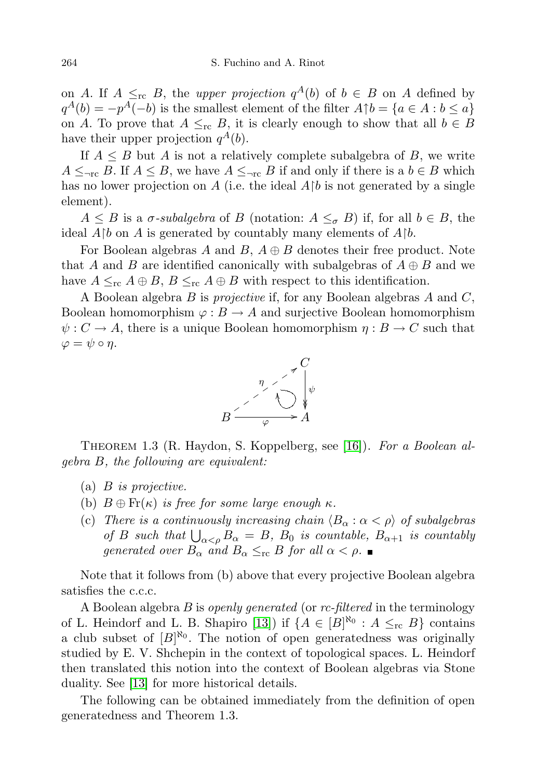on A. If  $A \leq_{\text{rc}} B$ , the upper projection  $q^A(b)$  of  $b \in B$  on A defined by  $q^A(b) = -p^A(-b)$  is the smallest element of the filter  $A \uparrow b = \{a \in A : b \leq a\}$ on A. To prove that  $A \leq_{\text{rc}} B$ , it is clearly enough to show that all  $b \in B$ have their upper projection  $q^A(b)$ .

If  $A \leq B$  but A is not a relatively complete subalgebra of B, we write  $A \leq_{\text{nc}} B$ . If  $A \leq B$ , we have  $A \leq_{\text{nc}} B$  if and only if there is a  $b \in B$  which has no lower projection on A (i.e. the ideal  $A\uparrow b$  is not generated by a single element).

 $A \leq B$  is a  $\sigma$ -subalgebra of B (notation:  $A \leq_{\sigma} B$ ) if, for all  $b \in B$ , the ideal  $A\upharpoonright b$  on A is generated by countably many elements of  $A\upharpoonright b$ .

For Boolean algebras A and B,  $A \oplus B$  denotes their free product. Note that A and B are identified canonically with subalgebras of  $A \oplus B$  and we have  $A \leq_{\text{rc}} A \oplus B$ ,  $B \leq_{\text{rc}} A \oplus B$  with respect to this identification.

A Boolean algebra  $B$  is *projective* if, for any Boolean algebras  $A$  and  $C$ , Boolean homomorphism  $\varphi : B \to A$  and surjective Boolean homomorphism  $\psi: C \to A$ , there is a unique Boolean homomorphism  $\eta: B \to C$  such that  $\varphi = \psi \circ \eta$ .



<span id="page-3-0"></span>THEOREM 1.3 (R. Haydon, S. Koppelberg, see [\[16\]](#page-22-4)). For a Boolean algebra B, the following are equivalent:

- (a) B is projective.
- (b)  $B \oplus Fr(\kappa)$  is free for some large enough  $\kappa$ .
- (c) There is a continuously increasing chain  $\langle B_{\alpha} : \alpha < \rho \rangle$  of subalgebras of B such that  $\bigcup_{\alpha < \rho} B_{\alpha} = B$ ,  $B_0$  is countable,  $B_{\alpha+1}$  is countably generated over  $B_{\alpha}$  and  $B_{\alpha} \leq_{\text{rc}} B$  for all  $\alpha < \rho$ .

Note that it follows from (b) above that every projective Boolean algebra satisfies the c.c.c.

A Boolean algebra  $B$  is *openly generated* (or *rc-filtered* in the terminology of L. Heindorf and L. B. Shapiro [\[13\]](#page-22-5)) if  $\{A \in [B]^{\aleph_0} : A \leq_{\text{rc}} B\}$  contains a club subset of  $[B]^{\aleph_0}$ . The notion of open generatedness was originally studied by E. V. Shchepin in the context of topological spaces. L. Heindorf then translated this notion into the context of Boolean algebras via Stone duality. See [\[13\]](#page-22-5) for more historical details.

The following can be obtained immediately from the definition of open generatedness and Theorem 1.3.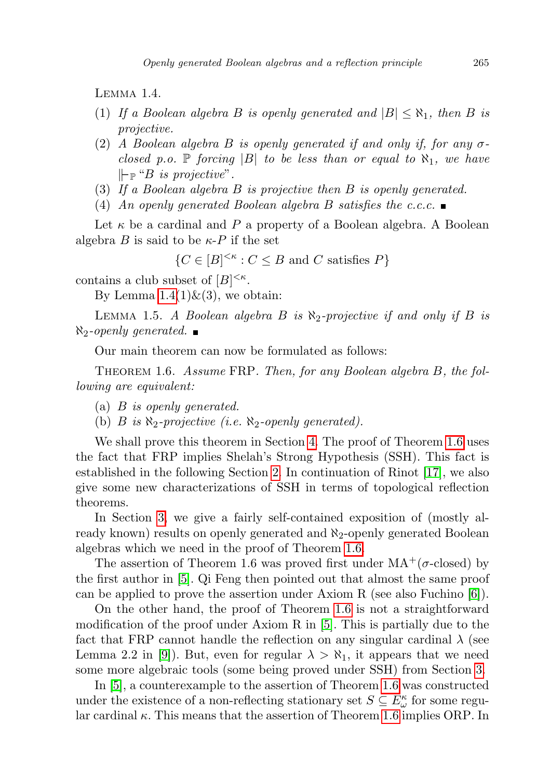<span id="page-4-0"></span>LEMMA 1.4.

- (1) If a Boolean algebra B is openly generated and  $|B| \leq \aleph_1$ , then B is projective.
- (2) A Boolean algebra B is openly generated if and only if, for any  $\sigma$ closed p.o.  $\mathbb P$  forcing |B| to be less than or equal to  $\aleph_1$ , we have  $\models_{\mathbb{P}} "B \text{ is projective".}$
- (3) If a Boolean algebra B is projective then B is openly generated.
- (4) An openly generated Boolean algebra B satisfies the c.c.c.  $\blacksquare$

Let  $\kappa$  be a cardinal and P a property of a Boolean algebra. A Boolean algebra B is said to be  $\kappa$ -P if the set

 $\{C \in [B]^{<\kappa} : C \leq B \text{ and } C \text{ satisfies } P\}$ 

contains a club subset of  $[B]^{<\kappa}$ .

By Lemma  $1.4(1) \& (3)$ , we obtain:

LEMMA 1.5. A Boolean algebra B is  $\aleph_2$ -projective if and only if B is  $\aleph_2$ -openly generated.

Our main theorem can now be formulated as follows:

<span id="page-4-1"></span>THEOREM 1.6. Assume FRP. Then, for any Boolean algebra B, the following are equivalent:

- (a) B is openly generated.
- (b) B is  $\aleph_2$ -projective (i.e.  $\aleph_2$ -openly generated).

We shall prove this theorem in Section [4.](#page-17-0) The proof of Theorem [1.6](#page-4-1) uses the fact that FRP implies Shelah's Strong Hypothesis (SSH). This fact is established in the following Section [2.](#page-5-0) In continuation of Rinot [\[17\]](#page-22-6), we also give some new characterizations of SSH in terms of topological reflection theorems.

In Section [3,](#page-11-0) we give a fairly self-contained exposition of (mostly already known) results on openly generated and  $\aleph_2$ -openly generated Boolean algebras which we need in the proof of Theorem [1.6.](#page-4-1)

The assertion of Theorem 1.6 was proved first under  $MA^{+}(\sigma$ -closed) by the first author in [\[5\]](#page-21-3). Qi Feng then pointed out that almost the same proof can be applied to prove the assertion under Axiom R (see also Fuchino [\[6\]](#page-21-6)).

On the other hand, the proof of Theorem [1.6](#page-4-1) is not a straightforward modification of the proof under Axiom R in [\[5\]](#page-21-3). This is partially due to the fact that FRP cannot handle the reflection on any singular cardinal  $\lambda$  (see Lemma 2.2 in [\[9\]](#page-22-0)). But, even for regular  $\lambda > \aleph_1$ , it appears that we need some more algebraic tools (some being proved under SSH) from Section [3.](#page-11-0)

In [\[5\]](#page-21-3), a counterexample to the assertion of Theorem [1.6](#page-4-1) was constructed under the existence of a non-reflecting stationary set  $S \subseteq E_{\omega}^{\kappa}$  for some regular cardinal  $\kappa$ . This means that the assertion of Theorem [1.6](#page-4-1) implies ORP. In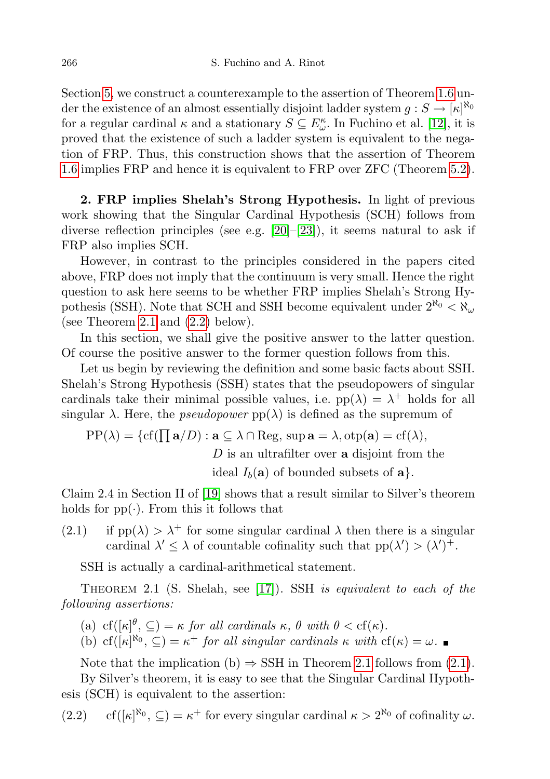Section [5,](#page-19-0) we construct a counterexample to the assertion of Theorem [1.6](#page-4-1) under the existence of an almost essentially disjoint ladder system  $g: S \to [\kappa]^{\aleph_0}$ for a regular cardinal  $\kappa$  and a stationary  $S \subseteq E^{\kappa}_{\omega}$ . In Fuchino et al. [\[12\]](#page-22-1), it is proved that the existence of such a ladder system is equivalent to the negation of FRP. Thus, this construction shows that the assertion of Theorem [1.6](#page-4-1) implies FRP and hence it is equivalent to FRP over ZFC (Theorem [5.2\)](#page-21-4).

<span id="page-5-0"></span>2. FRP implies Shelah's Strong Hypothesis. In light of previous work showing that the Singular Cardinal Hypothesis (SCH) follows from diverse reflection principles (see e.g.  $[20]$ – $[23]$ ), it seems natural to ask if FRP also implies SCH.

However, in contrast to the principles considered in the papers cited above, FRP does not imply that the continuum is very small. Hence the right question to ask here seems to be whether FRP implies Shelah's Strong Hypothesis (SSH). Note that SCH and SSH become equivalent under  $2^{\aleph_0} < \aleph_\omega$ (see Theorem [2.1](#page-5-1) and [\(2.2\)](#page-5-2) below).

In this section, we shall give the positive answer to the latter question. Of course the positive answer to the former question follows from this.

Let us begin by reviewing the definition and some basic facts about SSH. Shelah's Strong Hypothesis (SSH) states that the pseudopowers of singular cardinals take their minimal possible values, i.e.  $pp(\lambda) = \lambda^+$  holds for all singular  $\lambda$ . Here, the *pseudopower*  $pp(\lambda)$  is defined as the supremum of

 $PP(\lambda) = \{cf(\prod \mathbf{a}/D) : \mathbf{a} \subseteq \lambda \cap \text{Reg, sup } \mathbf{a} = \lambda, \text{otp}(\mathbf{a}) = cf(\lambda),\}$ 

D is an ultrafilter over a disjoint from the

ideal  $I_b(\mathbf{a})$  of bounded subsets of  $\mathbf{a}$ .

Claim 2.4 in Section II of [\[19\]](#page-22-9) shows that a result similar to Silver's theorem holds for  $pp(\cdot)$ . From this it follows that

<span id="page-5-3"></span>(2.1) if  $pp(\lambda) > \lambda^+$  for some singular cardinal  $\lambda$  then there is a singular cardinal  $\lambda' \leq \lambda$  of countable cofinality such that  $pp(\lambda') > (\lambda')^+$ .

SSH is actually a cardinal-arithmetical statement.

<span id="page-5-1"></span>THEOREM 2.1 (S. Shelah, see [\[17\]](#page-22-6)). SSH is equivalent to each of the following assertions:

(a)  $cf(|\kappa|^{\theta}, \subseteq) = \kappa$  for all cardinals  $\kappa, \theta$  with  $\theta < cf(\kappa)$ .

(b) cf( $[\kappa]^{\aleph_0}, \subseteq$ ) =  $\kappa^+$  for all singular cardinals  $\kappa$  with cf( $\kappa$ ) =  $\omega$ .

Note that the implication (b)  $\Rightarrow$  SSH in Theorem [2.1](#page-5-1) follows from [\(2.1\)](#page-5-3). By Silver's theorem, it is easy to see that the Singular Cardinal Hypothesis (SCH) is equivalent to the assertion:

<span id="page-5-2"></span> $(2.2)$  $x^{\aleph_0}, \subseteq$  =  $\kappa^+$  for every singular cardinal  $\kappa > 2^{\aleph_0}$  of cofinality  $\omega$ .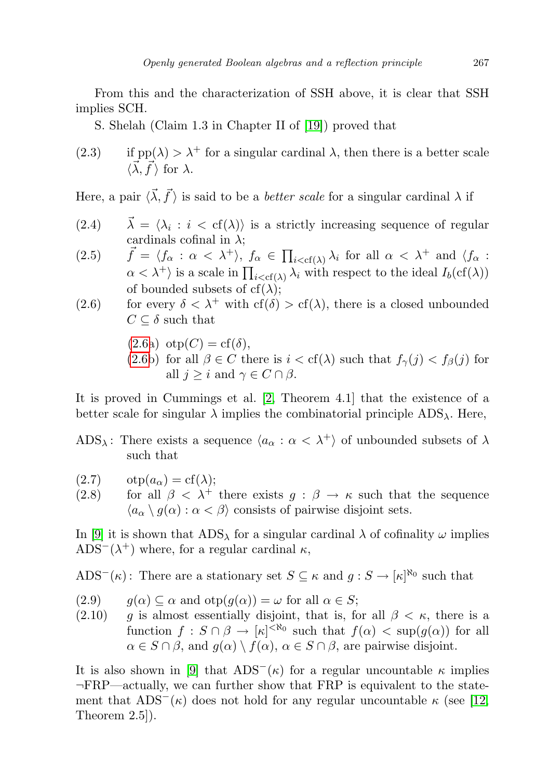From this and the characterization of SSH above, it is clear that SSH implies SCH.

S. Shelah (Claim 1.3 in Chapter II of [\[19\]](#page-22-9)) proved that

<span id="page-6-1"></span>(2.3) if  $pp(\lambda) > \lambda^+$  for a singular cardinal  $\lambda$ , then there is a better scale  $\langle \vec{\lambda}, \vec{f} \rangle$  for  $\lambda$ .

Here, a pair  $\langle \vec{\lambda}, \vec{f} \rangle$  is said to be a *better scale* for a singular cardinal  $\lambda$  if

- (2.4)  $\vec{\lambda} = \langle \lambda_i : i \langle f(\lambda) \rangle$  is a strictly increasing sequence of regular cardinals cofinal in  $\lambda$ ;
- (2.5)  $\vec{f} = \langle f_{\alpha} : \alpha < \lambda^+ \rangle, f_{\alpha} \in \prod_{i < cf(\lambda)} \lambda_i \text{ for all } \alpha < \lambda^+ \text{ and } \langle f_{\alpha} : \alpha \in \Lambda \rangle$  $\alpha < \lambda^+$  is a scale in  $\prod_{i < cf(\lambda)} \lambda_i$  with respect to the ideal  $I_b(cf(\lambda))$ of bounded subsets of  $cf(\lambda)$ ;
- <span id="page-6-0"></span>(2.6) for every  $\delta < \lambda^+$  with  $cf(\delta) > cf(\lambda)$ , there is a closed unbounded  $C \subseteq \delta$  such that

$$
(2.6a) \ \text{otp}(C) = \text{cf}(\delta),
$$

[\(2.6b](#page-6-0)) for all  $\beta \in C$  there is  $i < \text{cf}(\lambda)$  such that  $f_{\gamma}(j) < f_{\beta}(j)$  for all  $j > i$  and  $\gamma \in C \cap \beta$ .

It is proved in Cummings et al. [\[2,](#page-21-7) Theorem 4.1] that the existence of a better scale for singular  $\lambda$  implies the combinatorial principle  $ADS_{\lambda}$ . Here,

- ADS<sub> $\lambda$ </sub>: There exists a sequence  $\langle a_{\alpha} : \alpha < \lambda^+ \rangle$  of unbounded subsets of  $\lambda$ such that
- $(2.7)$   $\qquad \text{otp}(a_{\alpha}) = \text{cf}(\lambda);$
- (2.8) for all  $\beta < \lambda^+$  there exists  $g : \beta \to \kappa$  such that the sequence  $\langle a_{\alpha} \setminus g(\alpha) : \alpha < \beta \rangle$  consists of pairwise disjoint sets.

In [\[9\]](#page-22-0) it is shown that  $ADS_{\lambda}$  for a singular cardinal  $\lambda$  of cofinality  $\omega$  implies  $\text{ADS}^{-}(\lambda^{+})$  where, for a regular cardinal  $\kappa$ ,

ADS<sup> $-(\kappa)$ </sup>: There are a stationary set  $S \subseteq \kappa$  and  $g : S \to [\kappa]^{\aleph_0}$  such that

- $(2.9)$  g( $\alpha$ )  $\subseteq \alpha$  and  $otp(g(\alpha)) = \omega$  for all  $\alpha \in S$ ;
- (2.10) g is almost essentially disjoint, that is, for all  $\beta < \kappa$ , there is a function  $f: S \cap \beta \to [\kappa]^{<\aleph_0}$  such that  $f(\alpha) < \sup(g(\alpha))$  for all  $\alpha \in S \cap \beta$ , and  $g(\alpha) \setminus f(\alpha)$ ,  $\alpha \in S \cap \beta$ , are pairwise disjoint.

It is also shown in [\[9\]](#page-22-0) that  $ADS^{-}(\kappa)$  for a regular uncountable  $\kappa$  implies ¬FRP—actually, we can further show that FRP is equivalent to the statement that  $ADS^{-}(\kappa)$  does not hold for any regular uncountable  $\kappa$  (see [\[12,](#page-22-1) Theorem 2.5]).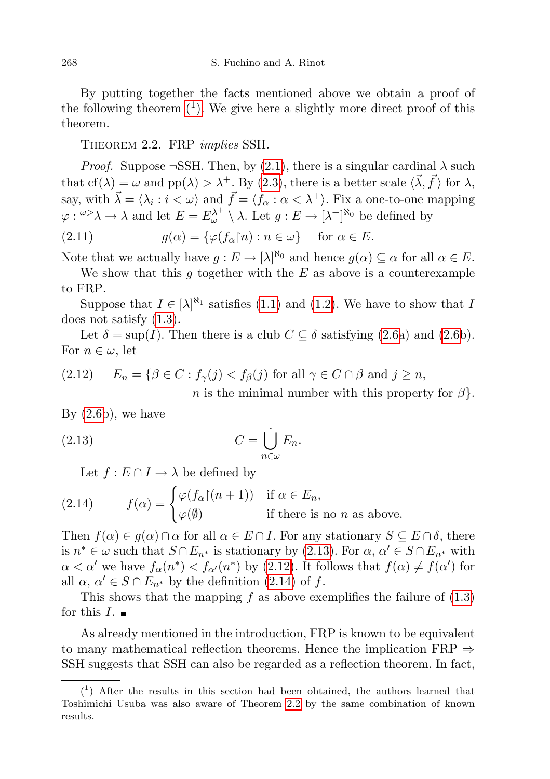By putting together the facts mentioned above we obtain a proof of the following theorem  $(1)$ . We give here a slightly more direct proof of this theorem.

## <span id="page-7-4"></span>THEOREM 2.2. FRP *implies* SSH.

*Proof.* Suppose  $\neg$ SSH. Then, by [\(2.1\)](#page-5-3), there is a singular cardinal  $\lambda$  such that  $cf(\lambda) = \omega$  and  $pp(\lambda) > \lambda^+$ . By [\(2.3\)](#page-6-1), there is a better scale  $\langle \vec{\lambda}, \vec{f} \rangle$  for  $\lambda$ , say, with  $\vec{\lambda} = \langle \lambda_i : i < \omega \rangle$  and  $\vec{f} = \langle f_\alpha : \alpha < \lambda^+ \rangle$ . Fix a one-to-one mapping  $\varphi: \omega > \lambda \to \lambda$  and let  $E = E_{\omega}^{\lambda^+} \setminus \lambda$ . Let  $g: E \to [\lambda^+]^{\aleph_0}$  be defined by

(2.11) 
$$
g(\alpha) = \{ \varphi(f_{\alpha} \mid n) : n \in \omega \} \quad \text{for } \alpha \in E.
$$

Note that we actually have  $g: E \to [\lambda]^{\aleph_0}$  and hence  $g(\alpha) \subseteq \alpha$  for all  $\alpha \in E$ . We show that this q together with the  $E$  as above is a counterexample

to FRP. Suppose that  $I \in [\lambda]^{\aleph_1}$  satisfies [\(1.1\)](#page-0-0) and [\(1.2\)](#page-1-1). We have to show that I

does not satisfy [\(1.3\)](#page-1-0).

Let  $\delta = \sup(I)$ . Then there is a club  $C \subseteq \delta$  satisfying [\(2.6a](#page-6-0)) and [\(2.6b](#page-6-0)). For  $n \in \omega$ , let

<span id="page-7-2"></span>(2.12) 
$$
E_n = \{ \beta \in C : f_{\gamma}(j) < f_{\beta}(j) \text{ for all } \gamma \in C \cap \beta \text{ and } j \ge n, \}
$$

<span id="page-7-1"></span>*n* is the minimal number with this property for  $\beta$ .

By  $(2.6b)$  $(2.6b)$ , we have

(2.13) 
$$
C = \bigcup_{n \in \omega}^{\cdot} E_n.
$$

<span id="page-7-3"></span>Let  $f : E \cap I \to \lambda$  be defined by

(2.14) 
$$
f(\alpha) = \begin{cases} \varphi(f_{\alpha} \restriction (n+1)) & \text{if } \alpha \in E_n, \\ \varphi(\emptyset) & \text{if there is no } n \text{ as above.} \end{cases}
$$

Then  $f(\alpha) \in g(\alpha) \cap \alpha$  for all  $\alpha \in E \cap I$ . For any stationary  $S \subseteq E \cap \delta$ , there is  $n^* \in \omega$  such that  $S \cap E_{n^*}$  is stationary by [\(2.13\)](#page-7-1). For  $\alpha, \alpha' \in S \cap E_{n^*}$  with  $\alpha < \alpha'$  we have  $f_{\alpha}(n^*) < f_{\alpha'}(n^*)$  by [\(2.12\)](#page-7-2). It follows that  $f(\alpha) \neq f(\alpha')$  for all  $\alpha$ ,  $\alpha' \in S \cap E_{n^*}$  by the definition [\(2.14\)](#page-7-3) of f.

This shows that the mapping f as above exemplifies the failure of  $(1.3)$ for this  $I.$ 

As already mentioned in the introduction, FRP is known to be equivalent to many mathematical reflection theorems. Hence the implication  $\text{FRP} \Rightarrow$ SSH suggests that SSH can also be regarded as a reflection theorem. In fact,

<span id="page-7-0"></span><sup>(</sup> 1 ) After the results in this section had been obtained, the authors learned that Toshimichi Usuba was also aware of Theorem [2.2](#page-7-4) by the same combination of known results.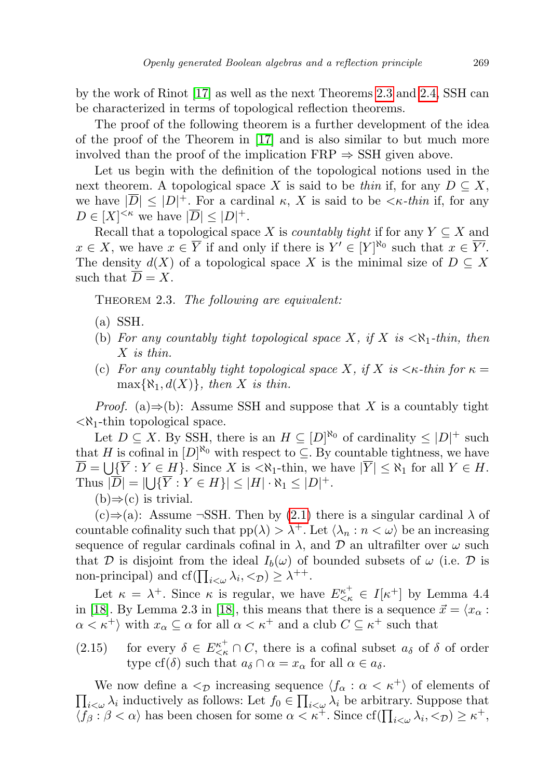by the work of Rinot [\[17\]](#page-22-6) as well as the next Theorems [2.3](#page-8-0) and [2.4,](#page-10-0) SSH can be characterized in terms of topological reflection theorems.

The proof of the following theorem is a further development of the idea of the proof of the Theorem in [\[17\]](#page-22-6) and is also similar to but much more involved than the proof of the implication  $\text{FRP} \Rightarrow \text{SSH}$  given above.

Let us begin with the definition of the topological notions used in the next theorem. A topological space X is said to be thin if, for any  $D \subseteq X$ , we have  $|\overline{D}| \leq |D|^+$ . For a cardinal  $\kappa$ , X is said to be  $\langle \kappa\text{-}thin$  if, for any  $D \in [X]^{<\kappa}$  we have  $|\overline{D}| \leq |D|^+$ .

Recall that a topological space X is *countably tight* if for any  $Y \subseteq X$  and  $x \in X$ , we have  $x \in \overline{Y}$  if and only if there is  $Y' \in [Y]^{\aleph_0}$  such that  $x \in \overline{Y'}$ . The density  $d(X)$  of a topological space X is the minimal size of  $D \subseteq X$ such that  $\overline{D} = X$ .

<span id="page-8-0"></span>THEOREM 2.3. The following are equivalent:

- (a) SSH.
- (b) For any countably tight topological space X, if X is  $\langle X_1$ -thin, then X is thin.
- (c) For any countably tight topological space X, if X is <κ-thin for κ =  $\max\{\aleph_1, d(X)\}\$ , then X is thin.

*Proof.* (a) $\Rightarrow$ (b): Assume SSH and suppose that X is a countably tight  $\langle X_1$ -thin topological space.

Let  $D \subseteq X$ . By SSH, there is an  $H \subseteq [D]^{\aleph_0}$  of cardinality  $\leq |D|^+$  such that H is cofinal in  $[D]^{\aleph_0}$  with respect to  $\subseteq$ . By countable tightness, we have  $D = \bigcup \{ Y : Y \in H \}$ . Since X is  $\langle X_1$ -thin, we have  $|Y| \leq \aleph_1$  for all  $Y \in H$ . Thus  $|\overline{D}| = |\bigcup {\{\overline{Y} : Y \in H\}}| \leq |H| \cdot \aleph_1 \leq |D|^+$ .

 $(b) \Rightarrow (c)$  is trivial.

(c)⇒(a): Assume ¬SSH. Then by [\(2.1\)](#page-5-3) there is a singular cardinal  $\lambda$  of countable cofinality such that  $pp(\lambda) > \lambda^+$ . Let  $\langle \lambda_n : n < \omega \rangle$  be an increasing sequence of regular cardinals cofinal in  $\lambda$ , and  $\mathcal D$  an ultrafilter over  $\omega$  such that D is disjoint from the ideal  $I_b(\omega)$  of bounded subsets of  $\omega$  (i.e. D is non-principal) and  $cf(\prod_{i<\omega}\lambda_i,\langle \tau_D \rangle) \geq \lambda^{++}$ .

Let  $\kappa = \lambda^+$ . Since  $\kappa$  is regular, we have  $E_{\leq \kappa}^{\kappa^+} \in I[\kappa^+]$  by Lemma 4.4 in [\[18\]](#page-22-10). By Lemma 2.3 in [18], this means that there is a sequence  $\vec{x} = \langle x_{\alpha} :$  $\alpha < \kappa^+$  with  $x_\alpha \subseteq \alpha$  for all  $\alpha < \kappa^+$  and a club  $C \subseteq \kappa^+$  such that

<span id="page-8-1"></span>(2.15) for every  $\delta \in E_{\leq \kappa}^{\kappa^+} \cap C$ , there is a cofinal subset  $a_{\delta}$  of  $\delta$  of order type cf( $\delta$ ) such that  $a_{\delta} \cap \alpha = x_{\alpha}$  for all  $\alpha \in a_{\delta}$ .

We now define a  $\langle \tau \rangle$  increasing sequence  $\langle f_{\alpha} : \alpha < \kappa^{+} \rangle$  of elements of  $\prod_{i<\omega}\lambda_i$  inductively as follows: Let  $f_0\in\prod_{i<\omega}\lambda_i$  be arbitrary. Suppose that  $\langle f_\beta : \beta < \alpha \rangle$  has been chosen for some  $\alpha < \kappa^+$ . Since  $cf(\prod_{i<\omega}\lambda_i, <_{\mathcal{D}}) \geq \kappa^+$ ,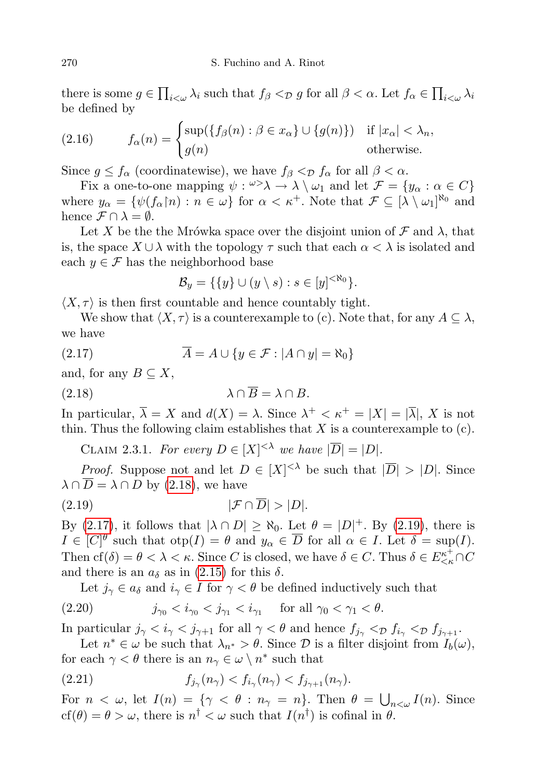there is some  $g \in \prod_{i<\omega} \lambda_i$  such that  $f_\beta <_{\mathcal{D}} g$  for all  $\beta < \alpha$ . Let  $f_\alpha \in \prod_{i<\omega} \lambda_i$ be defined by

<span id="page-9-3"></span>(2.16) 
$$
f_{\alpha}(n) = \begin{cases} \sup(\{f_{\beta}(n) : \beta \in x_{\alpha}\} \cup \{g(n)\}) & \text{if } |x_{\alpha}| < \lambda_n, \\ g(n) & \text{otherwise.} \end{cases}
$$

Since  $g \le f_\alpha$  (coordinatewise), we have  $f_\beta \le \mathcal{D} f_\alpha$  for all  $\beta < \alpha$ .

Fix a one-to-one mapping  $\psi: \omega > \lambda \to \lambda \setminus \omega_1$  and let  $\mathcal{F} = \{y_\alpha : \alpha \in C\}$ where  $y_{\alpha} = \{ \psi(f_{\alpha} \mid n) : n \in \omega \}$  for  $\alpha < \kappa^{+}$ . Note that  $\mathcal{F} \subseteq [\lambda \setminus \omega_1]^{\aleph_0}$  and hence  $\mathcal{F} \cap \lambda = \emptyset$ .

Let X be the the Mrówka space over the disjoint union of  $\mathcal F$  and  $\lambda$ , that is, the space  $X \cup \lambda$  with the topology  $\tau$  such that each  $\alpha < \lambda$  is isolated and each  $y \in \mathcal{F}$  has the neighborhood base

<span id="page-9-1"></span><span id="page-9-0"></span>
$$
\mathcal{B}_y = \{ \{y\} \cup (y \setminus s) : s \in [y]^{< \aleph_0} \}.
$$

 $\langle X, \tau \rangle$  is then first countable and hence countably tight.

We show that  $\langle X, \tau \rangle$  is a counterexample to (c). Note that, for any  $A \subseteq \lambda$ , we have

(2.17) 
$$
\overline{A} = A \cup \{y \in \mathcal{F} : |A \cap y| = \aleph_0\}
$$

and, for any  $B \subseteq X$ ,

$$
\lambda \cap \overline{B} = \lambda \cap B.
$$

In particular,  $\overline{\lambda} = X$  and  $d(X) = \lambda$ . Since  $\lambda^+ < \kappa^+ = |X| = |\overline{\lambda}|$ , X is not thin. Thus the following claim establishes that  $X$  is a counterexample to  $(c)$ .

<span id="page-9-2"></span>CLAIM 2.3.1. For every  $D \in [X]^{<\lambda}$  we have  $|\overline{D}| = |D|$ .

*Proof.* Suppose not and let  $D \in [X]^{<\lambda}$  be such that  $|\overline{D}| > |D|$ . Since  $\lambda \cap \overline{D} = \lambda \cap D$  by [\(2.18\)](#page-9-0), we have

$$
|\mathcal{F} \cap \overline{D}| > |D|.
$$

By [\(2.17\)](#page-9-1), it follows that  $|\lambda \cap D| \geq \aleph_0$ . Let  $\theta = |D|^+$ . By [\(2.19\)](#page-9-2), there is  $I \in [C]^{\theta}$  such that  $otp(I) = \theta$  and  $y_{\alpha} \in \overline{D}$  for all  $\alpha \in I$ . Let  $\delta = \sup(I)$ . Then  $cf(\delta) = \theta < \lambda < \kappa$ . Since C is closed, we have  $\delta \in C$ . Thus  $\delta \in E_{\leq \kappa}^{\kappa^+} \cap C$ and there is an  $a_{\delta}$  as in [\(2.15\)](#page-8-1) for this  $\delta$ .

Let  $j_{\gamma} \in a_{\delta}$  and  $i_{\gamma} \in I$  for  $\gamma < \theta$  be defined inductively such that

(2.20) 
$$
j_{\gamma_0} < i_{\gamma_0} < j_{\gamma_1} < i_{\gamma_1} \quad \text{for all } \gamma_0 < \gamma_1 < \theta.
$$

In particular  $j_{\gamma} < i_{\gamma} < j_{\gamma+1}$  for all  $\gamma < \theta$  and hence  $f_{j_{\gamma}} < \rho$   $f_{i_{\gamma}} < \rho$   $f_{j_{\gamma+1}}$ .

Let  $n^* \in \omega$  be such that  $\lambda_{n^*} > \theta$ . Since  $\mathcal D$  is a filter disjoint from  $I_b(\omega)$ , for each  $\gamma < \theta$  there is an  $n_{\gamma} \in \omega \setminus n^*$  such that

(2.21) 
$$
f_{j_{\gamma}}(n_{\gamma}) < f_{i_{\gamma}}(n_{\gamma}) < f_{j_{\gamma+1}}(n_{\gamma}).
$$

For  $n < \omega$ , let  $I(n) = \{ \gamma < \theta : n_{\gamma} = n \}$ . Then  $\theta = \bigcup_{n < \omega} I(n)$ . Since  $cf(\theta) = \theta > \omega$ , there is  $n^{\dagger} < \omega$  such that  $I(n^{\dagger})$  is cofinal in  $\theta$ .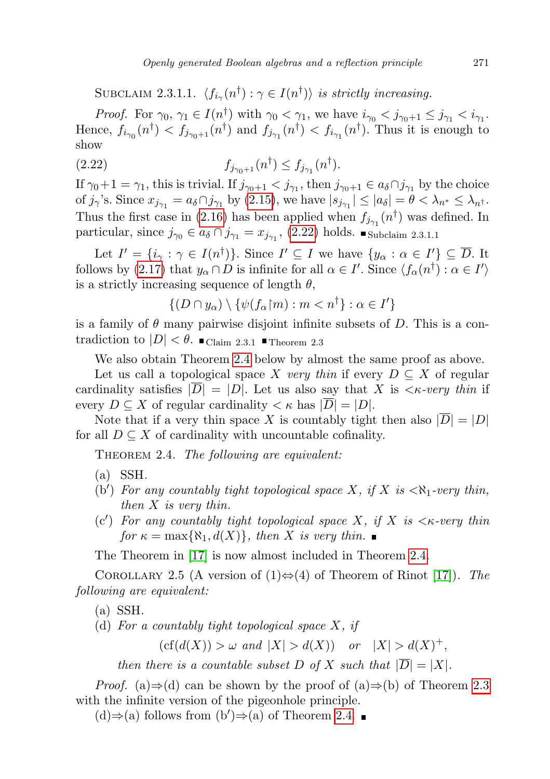<span id="page-10-1"></span>SUBCLAIM 2.3.1.1.  $\langle f_{i_{\gamma}}(n^{\dagger}) : \gamma \in I(n^{\dagger}) \rangle$  is strictly increasing.

*Proof.* For  $\gamma_0, \gamma_1 \in I(n^{\dagger})$  with  $\gamma_0 < \gamma_1$ , we have  $i_{\gamma_0} < j_{\gamma_0+1} \leq j_{\gamma_1} < i_{\gamma_1}$ . Hence,  $f_{i_{\gamma_0}}(n^{\dagger}) < f_{j_{\gamma_0+1}}(n^{\dagger})$  and  $f_{j_{\gamma_1}}(n^{\dagger}) < f_{i_{\gamma_1}}(n^{\dagger})$ . Thus it is enough to show

$$
(2.22) \t\t f_{j_{\gamma_0+1}}(n^{\dagger}) \le f_{j_{\gamma_1}}(n^{\dagger}).
$$

If  $\gamma_0+1=\gamma_1$ , this is trivial. If  $j_{\gamma_0+1} < j_{\gamma_1}$ , then  $j_{\gamma_0+1} \in a_{\delta} \cap j_{\gamma_1}$  by the choice of  $j_{\gamma}$ 's. Since  $x_{j_{\gamma_1}} = a_{\delta} \cap j_{\gamma_1}$  by [\(2.15\)](#page-8-1), we have  $|s_{j_{\gamma_1}}| \leq |a_{\delta}| = \theta < \lambda_{n^*} \leq \lambda_{n^*}$ . Thus the first case in [\(2.16\)](#page-9-3) has been applied when  $f_{j_{\gamma_1}}(n^{\dagger})$  was defined. In particular, since  $j_{\gamma_0} \in a_\delta \cap j_{\gamma_1} = x_{j_{\gamma_1}}$ , [\(2.22\)](#page-10-1) holds.  $\blacksquare$ subclaim 2.3.1.1

Let  $I' = \{i_{\gamma} : \gamma \in I(n^{\dagger})\}$ . Since  $I' \subseteq I$  we have  $\{y_{\alpha} : \alpha \in I'\} \subseteq \overline{D}$ . It follows by [\(2.17\)](#page-9-1) that  $y_\alpha \cap D$  is infinite for all  $\alpha \in I'$ . Since  $\langle f_\alpha(n^{\dagger}) : \alpha \in I' \rangle$ is a strictly increasing sequence of length  $\theta$ ,

$$
\{(D \cap y_{\alpha}) \setminus \{\psi(f_{\alpha} \upharpoonright m) : m < n^{\dagger}\} : \alpha \in I'\}
$$

is a family of  $\theta$  many pairwise disjoint infinite subsets of D. This is a contradiction to  $|D| < \theta$ . Claim 2.3.1 Theorem 2.3

We also obtain Theorem [2.4](#page-10-0) below by almost the same proof as above.

Let us call a topological space X very thin if every  $D \subseteq X$  of regular cardinality satisfies  $|D| = |D|$ . Let us also say that X is  $\langle \kappa$ -very thin if every  $D \subseteq X$  of regular cardinality  $\lt \kappa$  has  $|\overline{D}| = |D|$ .

Note that if a very thin space X is countably tight then also  $|\overline{D}| = |D|$ for all  $D \subseteq X$  of cardinality with uncountable cofinality.

<span id="page-10-0"></span>THEOREM 2.4. The following are equivalent:

- $(a)$  SSH.
- (b') For any countably tight topological space X, if X is  $\langle \aleph_1$ -very thin, then X is very thin.
- (c') For any countably tight topological space X, if X is  $\lt$  $\kappa$ -very thin for  $\kappa = \max\{\aleph_1, d(X)\}\$ , then X is very thin.

The Theorem in [\[17\]](#page-22-6) is now almost included in Theorem [2.4.](#page-10-0)

COROLLARY 2.5 (A version of  $(1) \Leftrightarrow (4)$  of Theorem of Rinot [\[17\]](#page-22-6)). The following are equivalent:

(a) SSH.

(d) For a countably tight topological space  $X$ , if

 $(cf(d(X)) > \omega \text{ and } |X| > d(X)) \text{ or } |X| > d(X)^{+},$ 

then there is a countable subset D of X such that  $|\overline{D}| = |X|$ .

*Proof.* (a)⇒(d) can be shown by the proof of (a)⇒(b) of Theorem [2.3](#page-8-0) with the infinite version of the pigeonhole principle.

 $(d) \Rightarrow$ (a) follows from  $(b') \Rightarrow$ (a) of Theorem [2.4.](#page-10-0)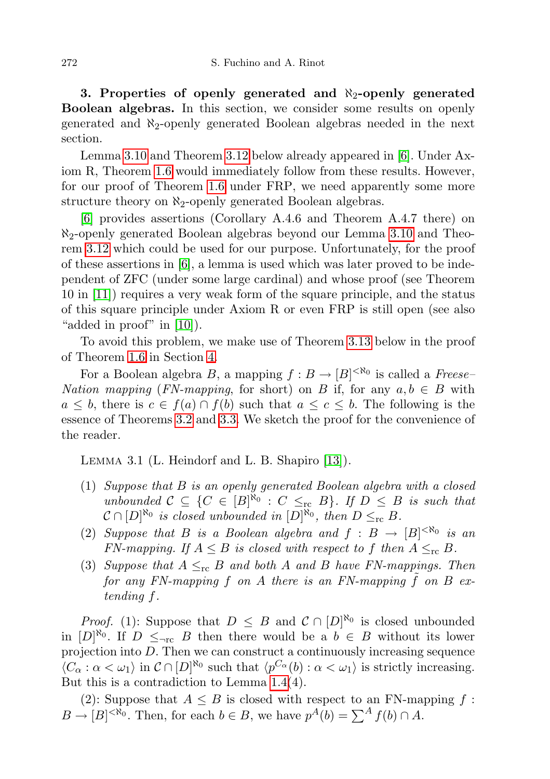<span id="page-11-0"></span>3. Properties of openly generated and  $\aleph_2$ -openly generated Boolean algebras. In this section, we consider some results on openly generated and ℵ2-openly generated Boolean algebras needed in the next section.

Lemma [3.10](#page-14-0) and Theorem [3.12](#page-15-0) below already appeared in [\[6\]](#page-21-6). Under Axiom R, Theorem [1.6](#page-4-1) would immediately follow from these results. However, for our proof of Theorem [1.6](#page-4-1) under FRP, we need apparently some more structure theory on  $\aleph_2$ -openly generated Boolean algebras.

[\[6\]](#page-21-6) provides assertions (Corollary A.4.6 and Theorem A.4.7 there) on  $\aleph_2$ -openly generated Boolean algebras beyond our Lemma [3.10](#page-14-0) and Theorem [3.12](#page-15-0) which could be used for our purpose. Unfortunately, for the proof of these assertions in  $[6]$ , a lemma is used which was later proved to be independent of ZFC (under some large cardinal) and whose proof (see Theorem 10 in [\[11\]](#page-22-11)) requires a very weak form of the square principle, and the status of this square principle under Axiom R or even FRP is still open (see also "added in proof" in [\[10\]](#page-22-12)).

To avoid this problem, we make use of Theorem [3.13](#page-16-0) below in the proof of Theorem [1.6](#page-4-1) in Section [4.](#page-17-0)

For a Boolean algebra B, a mapping  $f : B \to |B|^{< \aleph_0}$  is called a Freese-Nation mapping (FN-mapping, for short) on B if, for any  $a, b \in B$  with  $a \leq b$ , there is  $c \in f(a) \cap f(b)$  such that  $a \leq c \leq b$ . The following is the essence of Theorems [3.2](#page-12-0) and [3.3.](#page-12-1) We sketch the proof for the convenience of the reader.

<span id="page-11-1"></span>Lemma 3.1 (L. Heindorf and L. B. Shapiro [\[13\]](#page-22-5)).

- (1) Suppose that B is an openly generated Boolean algebra with a closed unbounded  $C \subseteq \{C \in [B]^{\aleph_0} : C \leq_{\text{rc}} B\}$ . If  $D \leq B$  is such that  $\mathcal{C} \cap [D]^{\aleph_0}$  is closed unbounded in  $[D]^{\aleph_0}$ , then  $D \leq_{\text{rc}} B$ .
- (2) Suppose that B is a Boolean algebra and  $f : B \to [B]^{<\aleph_0}$  is an FN-mapping. If  $A \leq B$  is closed with respect to f then  $A \leq_{\text{rc}} B$ .
- (3) Suppose that  $A \leq_{\text{rc}} B$  and both A and B have FN-mappings. Then for any FN-mapping  $f$  on  $A$  there is an FN-mapping  $\tilde{f}$  on  $B$  extending f.

*Proof.* (1): Suppose that  $D \leq B$  and  $C \cap [D]^{\aleph_0}$  is closed unbounded in  $[D]^{\aleph_0}$ . If  $D \leq_{\text{trc}} B$  then there would be a  $b \in B$  without its lower projection into D. Then we can construct a continuously increasing sequence  $\langle C_\alpha : \alpha < \omega_1 \rangle$  in  $\mathcal{C} \cap [D]^{\aleph_0}$  such that  $\langle p^{C_\alpha}(b) : \alpha < \omega_1 \rangle$  is strictly increasing. But this is a contradiction to Lemma [1.4\(](#page-4-0)4).

(2): Suppose that  $A \leq B$  is closed with respect to an FN-mapping f:  $B \to [B]^{< \aleph_0}$ . Then, for each  $b \in B$ , we have  $p^A(b) = \sum^A f(b) \cap A$ .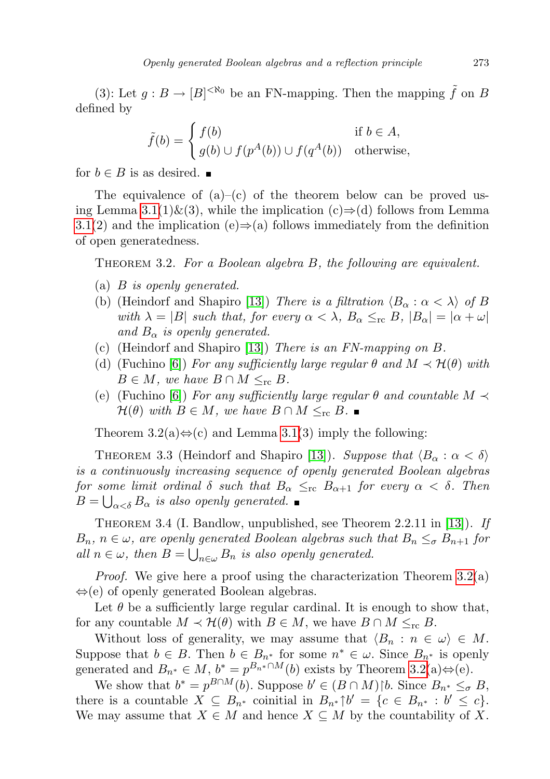(3): Let  $g : B \to [B]^{<\aleph_0}$  be an FN-mapping. Then the mapping  $\tilde{f}$  on B defined by

$$
\tilde{f}(b) = \begin{cases} f(b) & \text{if } b \in A, \\ g(b) \cup f(p^A(b)) \cup f(q^A(b)) & \text{otherwise,} \end{cases}
$$

for  $b \in B$  is as desired.  $\blacksquare$ 

The equivalence of  $(a)$ – $(c)$  of the theorem below can be proved us-ing Lemma [3.1\(](#page-11-1)1)&(3), while the implication (c) $\Rightarrow$ (d) follows from Lemma [3.1\(](#page-11-1)2) and the implication (e) $\Rightarrow$ (a) follows immediately from the definition of open generatedness.

<span id="page-12-0"></span>THEOREM 3.2. For a Boolean algebra B, the following are equivalent.

- (a) B is openly generated.
- (b) (Heindorf and Shapiro [\[13\]](#page-22-5)) There is a filtration  $\langle B_{\alpha} : \alpha < \lambda \rangle$  of B with  $\lambda = |B|$  such that, for every  $\alpha < \lambda$ ,  $B_{\alpha} \leq_{\text{rc}} B$ ,  $|B_{\alpha}| = |\alpha + \omega|$ and  $B_{\alpha}$  is openly generated.
- (c) (Heindorf and Shapiro [\[13\]](#page-22-5)) There is an FN-mapping on B.
- (d) (Fuchino [\[6\]](#page-21-6)) For any sufficiently large regular  $\theta$  and  $M \prec \mathcal{H}(\theta)$  with  $B \in M$ , we have  $B \cap M \leq_{\text{rc}} B$ .
- (e) (Fuchino [\[6\]](#page-21-6)) For any sufficiently large regular  $\theta$  and countable  $M \prec$  $\mathcal{H}(\theta)$  with  $B \in M$ , we have  $B \cap M \leq_{\text{rc}} B$ .

Theorem  $3.2(a) \Leftrightarrow (c)$  and Lemma  $3.1(3)$  imply the following:

<span id="page-12-1"></span>THEOREM 3.3 (Heindorf and Shapiro [\[13\]](#page-22-5)). Suppose that  $\langle B_{\alpha} : \alpha < \delta \rangle$ is a continuously increasing sequence of openly generated Boolean algebras for some limit ordinal  $\delta$  such that  $B_{\alpha} \leq_{\text{rc}} B_{\alpha+1}$  for every  $\alpha < \delta$ . Then  $B=\bigcup_{\alpha<\delta} B_\alpha$  is also openly generated.

<span id="page-12-2"></span>THEOREM 3.4 (I. Bandlow, unpublished, see Theorem 2.2.11 in [\[13\]](#page-22-5)). If  $B_n$ ,  $n \in \omega$ , are openly generated Boolean algebras such that  $B_n \leq_{\sigma} B_{n+1}$  for all  $n \in \omega$ , then  $B = \bigcup_{n \in \omega} B_n$  is also openly generated.

*Proof.* We give here a proof using the characterization Theorem  $3.2(a)$ ⇔(e) of openly generated Boolean algebras.

Let  $\theta$  be a sufficiently large regular cardinal. It is enough to show that, for any countable  $M \prec \mathcal{H}(\theta)$  with  $B \in M$ , we have  $B \cap M \leq_{\text{rc}} B$ .

Without loss of generality, we may assume that  $\langle B_n : n \in \omega \rangle \in M$ . Suppose that  $b \in B$ . Then  $b \in B_{n^*}$  for some  $n^* \in \omega$ . Since  $B_{n^*}$  is openly generated and  $B_{n^*} \in M$ ,  $b^* = p^{B_{n^*} \cap M}(b)$  exists by Theorem [3.2\(](#page-12-0)a) $\Leftrightarrow$ (e).

We show that  $b^* = p^{B \cap M}(b)$ . Suppose  $b' \in (B \cap M)$  [b. Since  $B_{n^*} \leq_{\sigma} B$ , there is a countable  $X \subseteq B_{n^*}$  coinitial in  $B_{n^*} \uparrow b' = \{c \in B_{n^*} : b' \leq c\}.$ We may assume that  $X \in M$  and hence  $X \subseteq M$  by the countability of X.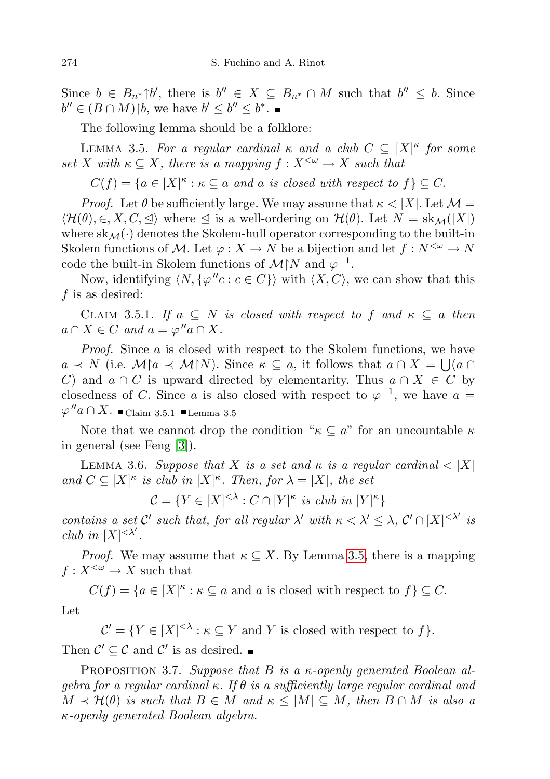Since  $b \in B_{n^*} \uparrow b'$ , there is  $b'' \in X \subseteq B_{n^*} \cap M$  such that  $b'' \leq b$ . Since  $b'' \in (B \cap M)$  |b, we have  $b' \leq b'' \leq b^*$ .

The following lemma should be a folklore:

<span id="page-13-0"></span>LEMMA 3.5. For a regular cardinal  $\kappa$  and a club  $C \subseteq [X]^{\kappa}$  for some set X with  $\kappa \subseteq X$ , there is a mapping  $f : X^{\leq \omega} \to X$  such that

 $C(f) = \{a \in [X]^{\kappa} : \kappa \subseteq a \text{ and } a \text{ is closed with respect to } f\} \subseteq C.$ 

*Proof.* Let  $\theta$  be sufficiently large. We may assume that  $\kappa < |X|$ . Let  $\mathcal{M} =$  $\langle \mathcal{H}(\theta), \in, X, C, \leq \rangle$  where  $\leq$  is a well-ordering on  $\mathcal{H}(\theta)$ . Let  $N = \text{sk}_{\mathcal{M}}(|X|)$ where  $sk_{\mathcal{M}}(\cdot)$  denotes the Skolem-hull operator corresponding to the built-in Skolem functions of M. Let  $\varphi: X \to N$  be a bijection and let  $f: N^{\leq \omega} \to N$ code the built-in Skolem functions of  $\mathcal{M} \upharpoonright N$  and  $\varphi^{-1}$ .

Now, identifying  $\langle N, {\{\varphi''c : c \in C\}} \rangle$  with  $\langle X, C \rangle$ , we can show that this f is as desired:

CLAIM 3.5.1. If  $a \subseteq N$  is closed with respect to f and  $\kappa \subseteq a$  then  $a \cap X \in C$  and  $a = \varphi'' a \cap X$ .

Proof. Since a is closed with respect to the Skolem functions, we have  $a \prec N$  (i.e.  $\mathcal{M} \upharpoonright a \prec \mathcal{M} \upharpoonright N$ ). Since  $\kappa \subseteq a$ , it follows that  $a \cap X = \bigcup (a \cap A)$ C) and  $a \cap C$  is upward directed by elementarity. Thus  $a \cap X \in C$  by closedness of C. Since a is also closed with respect to  $\varphi^{-1}$ , we have  $a =$  $\varphi''a \cap X$ . ■Claim 3.5.1 ■Lemma 3.5

Note that we cannot drop the condition " $\kappa \subseteq a$ " for an uncountable  $\kappa$ in general (see Feng [\[3\]](#page-21-8)).

<span id="page-13-1"></span>LEMMA 3.6. Suppose that X is a set and  $\kappa$  is a regular cardinal  $\langle |X|$ and  $C \subseteq [X]^{\kappa}$  is club in  $[X]^{\kappa}$ . Then, for  $\lambda = |X|$ , the set

$$
\mathcal{C} = \{ Y \in [X]^{< \lambda} : C \cap [Y]^\kappa \text{ is club in } [Y]^\kappa \}
$$

contains a set  $\mathcal{C}'$  such that, for all regular  $\lambda'$  with  $\kappa < \lambda' \leq \lambda$ ,  $\mathcal{C}' \cap [X]^{< \lambda'}$  is club in  $[X]^{<\lambda'}$ .

*Proof.* We may assume that  $\kappa \subseteq X$ . By Lemma [3.5,](#page-13-0) there is a mapping  $f: X^{\leq \omega} \to X$  such that

 $C(f) = \{a \in [X]^{\kappa} : \kappa \subseteq a \text{ and } a \text{ is closed with respect to } f\} \subseteq C.$ Let

 $\mathcal{C}' = \{ Y \in [X]^{< \lambda} : \kappa \subseteq Y \text{ and } Y \text{ is closed with respect to } f \}.$ 

Then  $\mathcal{C}' \subseteq \mathcal{C}$  and  $\mathcal{C}'$  is as desired.

<span id="page-13-2"></span>PROPOSITION 3.7. Suppose that B is a  $\kappa$ -openly generated Boolean algebra for a regular cardinal κ. If  $\theta$  is a sufficiently large regular cardinal and  $M \prec \mathcal{H}(\theta)$  is such that  $B \in M$  and  $\kappa \leq |M| \subseteq M$ , then  $B \cap M$  is also a κ-openly generated Boolean algebra.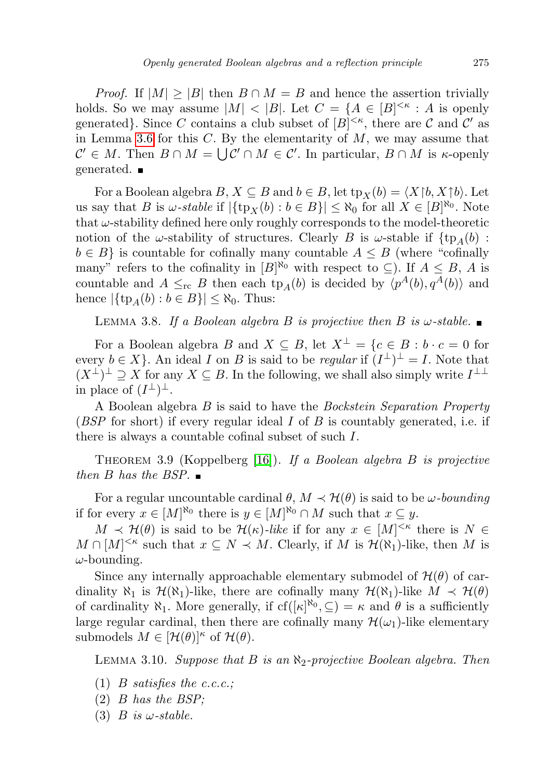*Proof.* If  $|M| \geq |B|$  then  $B \cap M = B$  and hence the assertion trivially holds. So we may assume  $|M| < |B|$ . Let  $C = \{A \in [B]^{< \kappa} : A \text{ is openly } \}$ generated}. Since C contains a club subset of  $[B]^{<\kappa}$ , there are C and C' as in Lemma [3.6](#page-13-1) for this  $C$ . By the elementarity of  $M$ , we may assume that  $\mathcal{C}' \in M$ . Then  $B \cap M = \bigcup \mathcal{C}' \cap M \in \mathcal{C}'$ . In particular,  $B \cap M$  is  $\kappa$ -openly generated.

For a Boolean algebra  $B, X \subseteq B$  and  $b \in B$ , let  $\tt tp_X(b) = \langle X \upharpoonright b, X \upharpoonright b$ . Let us say that B is  $\omega$ -stable if  $|\{\text{tp}_X(b) : b \in B\}| \leq \aleph_0$  for all  $X \in [B]^{\aleph_0}$ . Note that  $\omega$ -stability defined here only roughly corresponds to the model-theoretic notion of the  $\omega$ -stability of structures. Clearly B is  $\omega$ -stable if  $\{tp_A(b) :$  $b \in B$  is countable for cofinally many countable  $A \leq B$  (where "cofinally") many" refers to the cofinality in  $[B]^{\aleph_0}$  with respect to  $\subseteq$ ). If  $A \leq B$ , A is countable and  $A \leq_{\text{rc}} B$  then each  $\text{tp}_A(b)$  is decided by  $\langle p^A(b), q^A(b) \rangle$  and hence  $|\{\text{tp}_A(b) : b \in B\}| \leq \aleph_0$ . Thus:

<span id="page-14-2"></span>LEMMA 3.8. If a Boolean algebra B is projective then B is  $\omega$ -stable.

For a Boolean algebra B and  $X \subseteq B$ , let  $X^{\perp} = \{c \in B : b \cdot c = 0 \text{ for }$ every  $b \in X$ . An ideal I on B is said to be regular if  $(I^{\perp})^{\perp} = I$ . Note that  $(X^{\perp})^{\perp} \supseteq X$  for any  $X \subseteq B$ . In the following, we shall also simply write  $I^{\perp \perp}$ in place of  $(I^{\perp})^{\perp}$ .

A Boolean algebra B is said to have the Bockstein Separation Property (BSP for short) if every regular ideal  $I$  of  $B$  is countably generated, i.e. if there is always a countable cofinal subset of such I.

<span id="page-14-1"></span>THEOREM 3.9 (Koppelberg [\[16\]](#page-22-4)). If a Boolean algebra B is projective then B has the BSP.  $\blacksquare$ 

For a regular uncountable cardinal  $\theta$ ,  $M \prec \mathcal{H}(\theta)$  is said to be  $\omega$ -bounding if for every  $x \in [M]^{\aleph_0}$  there is  $y \in [M]^{\aleph_0} \cap M$  such that  $x \subseteq y$ .

 $M \prec \mathcal{H}(\theta)$  is said to be  $\mathcal{H}(\kappa)$ -like if for any  $x \in [M]^{<\kappa}$  there is  $N \in$  $M \cap [M]^{<\kappa}$  such that  $x \subseteq N \prec M$ . Clearly, if M is  $\mathcal{H}(\aleph_1)$ -like, then M is  $\omega$ -bounding.

Since any internally approachable elementary submodel of  $\mathcal{H}(\theta)$  of cardinality  $\aleph_1$  is  $\mathcal{H}(\aleph_1)$ -like, there are cofinally many  $\mathcal{H}(\aleph_1)$ -like  $M \prec \mathcal{H}(\theta)$ of cardinality  $\aleph_1$ . More generally, if  $cf([k]^{\aleph_0}, \subseteq) = \kappa$  and  $\theta$  is a sufficiently large regular cardinal, then there are cofinally many  $\mathcal{H}(\omega_1)$ -like elementary submodels  $M \in [\mathcal{H}(\theta)]^{\kappa}$  of  $\mathcal{H}(\theta)$ .

<span id="page-14-0"></span>LEMMA 3.10. Suppose that B is an  $\aleph_2$ -projective Boolean algebra. Then

- (1) B satisfies the c.c.c.;
- (2) B has the BSP;
- (3) B is  $\omega$ -stable.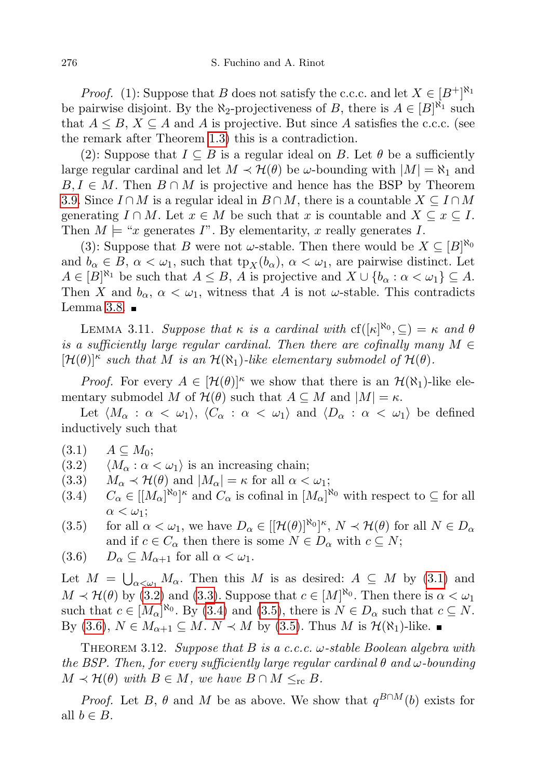*Proof.* (1): Suppose that B does not satisfy the c.c.c. and let  $X \in [B^+]^{\aleph_1}$ be pairwise disjoint. By the  $\aleph_2$ -projectiveness of B, there is  $A \in [B]^{\aleph_1}$  such that  $A \leq B$ ,  $X \subseteq A$  and A is projective. But since A satisfies the c.c.c. (see the remark after Theorem [1.3\)](#page-3-0) this is a contradiction.

(2): Suppose that  $I \subseteq B$  is a regular ideal on B. Let  $\theta$  be a sufficiently large regular cardinal and let  $M \prec \mathcal{H}(\theta)$  be  $\omega$ -bounding with  $|M| = \aleph_1$  and  $B, I \in M$ . Then  $B \cap M$  is projective and hence has the BSP by Theorem [3.9.](#page-14-1) Since  $I \cap M$  is a regular ideal in  $B \cap M$ , there is a countable  $X \subseteq I \cap M$ generating  $I \cap M$ . Let  $x \in M$  be such that x is countable and  $X \subseteq x \subseteq I$ . Then  $M \models "x$  generates I". By elementarity, x really generates I.

(3): Suppose that B were not  $\omega$ -stable. Then there would be  $X \subseteq [B]^{\aleph_0}$ and  $b_{\alpha} \in B$ ,  $\alpha < \omega_1$ , such that  $tp_X(b_{\alpha})$ ,  $\alpha < \omega_1$ , are pairwise distinct. Let  $A \in [B]^{\aleph_1}$  be such that  $A \leq B$ , A is projective and  $X \cup \{b_\alpha : \alpha < \omega_1\} \subseteq A$ . Then X and  $b_{\alpha}$ ,  $\alpha < \omega_1$ , witness that A is not  $\omega$ -stable. This contradicts Lemma  $3.8.$ 

<span id="page-15-7"></span>LEMMA 3.11. Suppose that  $\kappa$  is a cardinal with  $cf([{\kappa}]^{\aleph_0}, \subseteq) = \kappa$  and  $\theta$ is a sufficiently large regular cardinal. Then there are cofinally many  $M \in$  $[\mathcal{H}(\theta)]^{\kappa}$  such that M is an  $\mathcal{H}(\aleph_1)$ -like elementary submodel of  $\mathcal{H}(\theta)$ .

*Proof.* For every  $A \in [\mathcal{H}(\theta)]^{\kappa}$  we show that there is an  $\mathcal{H}(\aleph_1)$ -like elementary submodel M of  $\mathcal{H}(\theta)$  such that  $A \subseteq M$  and  $|M| = \kappa$ .

Let  $\langle M_{\alpha} : \alpha < \omega_1 \rangle$ ,  $\langle C_{\alpha} : \alpha < \omega_1 \rangle$  and  $\langle D_{\alpha} : \alpha < \omega_1 \rangle$  be defined inductively such that

- <span id="page-15-1"></span> $(3.1)$   $A \subseteq M_0$ ;
- <span id="page-15-2"></span>(3.2)  $\langle M_{\alpha} : \alpha < \omega_1 \rangle$  is an increasing chain;
- <span id="page-15-3"></span>(3.3)  $M_{\alpha} \prec \mathcal{H}(\theta)$  and  $|M_{\alpha}| = \kappa$  for all  $\alpha < \omega_1$ ;
- <span id="page-15-4"></span>(3.4)  $C_{\alpha} \in [[M_{\alpha}]^{\aleph_0}]^{\kappa}$  and  $C_{\alpha}$  is cofinal in  $[M_{\alpha}]^{\aleph_0}$  with respect to  $\subseteq$  for all  $\alpha < \omega_1$ ;
- <span id="page-15-5"></span>(3.5) for all  $\alpha < \omega_1$ , we have  $D_\alpha \in [[\mathcal{H}(\theta)]^{\aleph_0}]^{\kappa}$ ,  $N \prec \mathcal{H}(\theta)$  for all  $N \in D_\alpha$ and if  $c \in C_\alpha$  then there is some  $N \in D_\alpha$  with  $c \subseteq N$ ;
- <span id="page-15-6"></span> $(3.6)$   $D_{\alpha} \subseteq M_{\alpha+1}$  for all  $\alpha < \omega_1$ .

Let  $M = \bigcup_{\alpha < \omega_1} M_\alpha$ . Then this M is as desired:  $A \subseteq M$  by [\(3.1\)](#page-15-1) and  $M \prec \mathcal{H}(\theta)$  by [\(3.2\)](#page-15-2) and [\(3.3\)](#page-15-3). Suppose that  $c \in [M]^{\aleph_0}$ . Then there is  $\alpha < \omega_1$ such that  $c \in [M_{\alpha}]^{\aleph_0}$ . By [\(3.4\)](#page-15-4) and [\(3.5\)](#page-15-5), there is  $N \in D_{\alpha}$  such that  $c \subseteq N$ . By [\(3.6\)](#page-15-6),  $N \in M_{\alpha+1} \subseteq M$ .  $N \prec M$  by [\(3.5\)](#page-15-5). Thus M is  $\mathcal{H}(\aleph_1)$ -like.

<span id="page-15-0"></span>THEOREM 3.12. Suppose that  $B$  is a c.c.c.  $\omega$ -stable Boolean algebra with the BSP. Then, for every sufficiently large regular cardinal  $\theta$  and  $\omega$ -bounding  $M \prec \mathcal{H}(\theta)$  with  $B \in M$ , we have  $B \cap M \leq_{\text{rc}} B$ .

*Proof.* Let B,  $\theta$  and M be as above. We show that  $q^{B \cap M}(b)$  exists for all  $b \in B$ .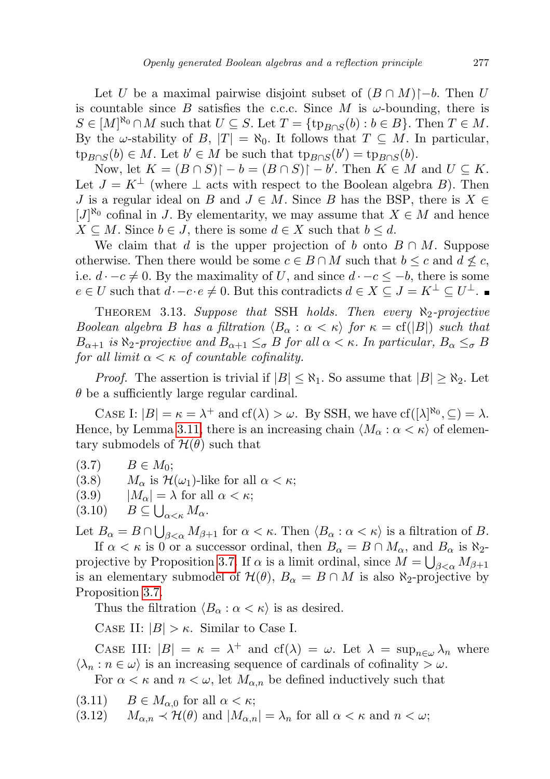Let U be a maximal pairwise disjoint subset of  $(B \cap M)$  $\uparrow$ -b. Then U is countable since B satisfies the c.c.c. Since M is  $\omega$ -bounding, there is  $S \in [M]^{\aleph_0} \cap M$  such that  $U \subseteq S$ . Let  $T = \{\text{tp}_{B \cap S}(b) : b \in B\}$ . Then  $T \in M$ . By the  $\omega$ -stability of B,  $|T| = \aleph_0$ . It follows that  $T \subseteq M$ . In particular,  ${\rm tp}_{B \cap S}(b) \in M$ . Let  $b' \in M$  be such that  ${\rm tp}_{B \cap S}(b') = {\rm tp}_{B \cap S}(b)$ .

Now, let  $K = (B \cap S) \restriction -b = (B \cap S) \restriction -b'$ . Then  $K \in M$  and  $U \subseteq K$ . Let  $J = K^{\perp}$  (where  $\perp$  acts with respect to the Boolean algebra B). Then J is a regular ideal on B and  $J \in M$ . Since B has the BSP, there is  $X \in$  $[J]^{N_0}$  cofinal in J. By elementarity, we may assume that  $X \in M$  and hence  $X \subseteq M$ . Since  $b \in J$ , there is some  $d \in X$  such that  $b \leq d$ .

We claim that d is the upper projection of b onto  $B \cap M$ . Suppose otherwise. Then there would be some  $c \in B \cap M$  such that  $b \leq c$  and  $d \nleq c$ , i.e.  $d \cdot -c \neq 0$ . By the maximality of U, and since  $d \cdot -c \leq -b$ , there is some  $e \in U$  such that  $d \cdot -c \cdot e \neq 0$ . But this contradicts  $d \in X \subseteq J = K^{\perp} \subseteq U^{\perp}$ .

<span id="page-16-0"></span>THEOREM 3.13. Suppose that SSH holds. Then every  $\aleph_2$ -projective Boolean algebra B has a filtration  $\langle B_{\alpha} : \alpha < \kappa \rangle$  for  $\kappa = \text{cf}(|B|)$  such that  $B_{\alpha+1}$  is  $\aleph_2$ -projective and  $B_{\alpha+1} \leq_{\sigma} B$  for all  $\alpha < \kappa$ . In particular,  $B_{\alpha} \leq_{\sigma} B$ for all limit  $\alpha < \kappa$  of countable cofinality.

*Proof.* The assertion is trivial if  $|B| \leq \aleph_1$ . So assume that  $|B| \geq \aleph_2$ . Let  $\theta$  be a sufficiently large regular cardinal.

CASE I:  $|B| = \kappa = \lambda^+$  and  $cf(\lambda) > \omega$ . By SSH, we have  $cf([\lambda]^{\aleph_0}, \subseteq) = \lambda$ . Hence, by Lemma [3.11,](#page-15-7) there is an increasing chain  $\langle M_{\alpha} : \alpha < \kappa \rangle$  of elementary submodels of  $\mathcal{H}(\theta)$  such that

 $(3.7)$   $B \in M_0$ ;

(3.8)  $M_{\alpha}$  is  $\mathcal{H}(\omega_1)$ -like for all  $\alpha < \kappa$ ;

(3.9)  $|M_{\alpha}| = \lambda$  for all  $\alpha < \kappa$ ;

$$
(3.10) \t B \subseteq \bigcup_{\alpha < \kappa} M_{\alpha}.
$$

Let  $B_{\alpha} = B \cap \bigcup_{\beta < \alpha} M_{\beta+1}$  for  $\alpha < \kappa$ . Then  $\langle B_{\alpha} : \alpha < \kappa \rangle$  is a filtration of B. If  $\alpha < \kappa$  is 0 or a successor ordinal, then  $B_{\alpha} = B \cap M_{\alpha}$ , and  $B_{\alpha}$  is  $\aleph_2$ -projective by Proposition [3.7.](#page-13-2) If  $\alpha$  is a limit ordinal, since  $M = \bigcup_{\beta < \alpha} M_{\beta+1}$ is an elementary submodel of  $\mathcal{H}(\theta)$ ,  $B_{\alpha} = B \cap M$  is also  $\aleph_2$ -projective by

Proposition [3.7.](#page-13-2)

Thus the filtration  $\langle B_{\alpha} : \alpha < \kappa \rangle$  is as desired.

CASE II:  $|B| > \kappa$ . Similar to Case I.

CASE III:  $|B| = \kappa = \lambda^+$  and  $cf(\lambda) = \omega$ . Let  $\lambda = \sup_{n \in \omega} \lambda_n$  where  $\langle \lambda_n : n \in \omega \rangle$  is an increasing sequence of cardinals of cofinality  $>\omega$ .

For  $\alpha < \kappa$  and  $n < \omega$ , let  $M_{\alpha,n}$  be defined inductively such that

<span id="page-16-2"></span>(3.11)  $B \in M_{\alpha,0}$  for all  $\alpha < \kappa$ ;

<span id="page-16-1"></span>(3.12)  $M_{\alpha,n} \prec \mathcal{H}(\theta)$  and  $|M_{\alpha,n}| = \lambda_n$  for all  $\alpha < \kappa$  and  $n < \omega$ ;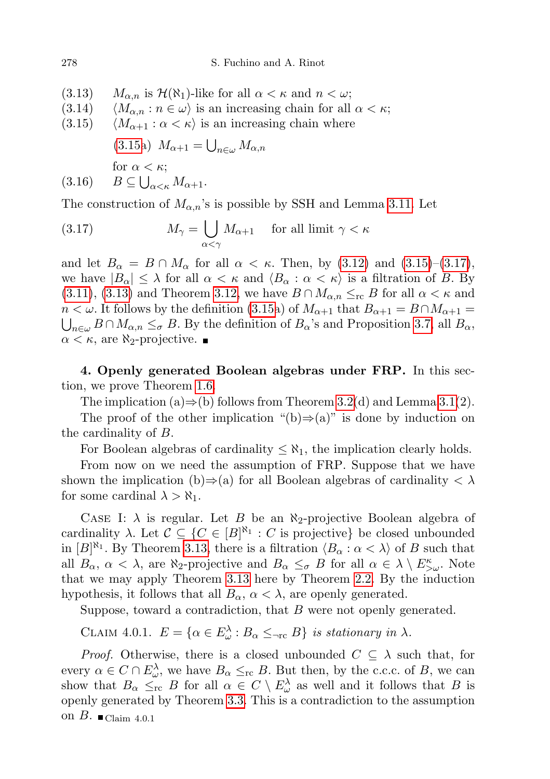<span id="page-17-3"></span><span id="page-17-1"></span>(3.13)  $M_{\alpha,n}$  is  $\mathcal{H}(\aleph_1)$ -like for all  $\alpha < \kappa$  and  $n < \omega$ ; (3.14)  $\langle M_{\alpha,n} : n \in \omega \rangle$  is an increasing chain for all  $\alpha < \kappa;$ (3.15)  $\langle M_{\alpha+1} : \alpha < \kappa \rangle$  is an increasing chain where [\(3.15a](#page-17-1))  $M_{\alpha+1} = \bigcup_{n \in \omega} M_{\alpha,n}$ for  $\alpha < \kappa$ ;  $(3.16)$  $\bigcup_{\alpha<\kappa}M_{\alpha+1}.$ 

The construction of  $M_{\alpha,n}$ 's is possible by SSH and Lemma [3.11.](#page-15-7) Let

<span id="page-17-2"></span>(3.17) 
$$
M_{\gamma} = \bigcup_{\alpha < \gamma} M_{\alpha+1} \quad \text{for all limit } \gamma < \kappa
$$

and let  $B_{\alpha} = B \cap M_{\alpha}$  for all  $\alpha < \kappa$ . Then, by [\(3.12\)](#page-16-1) and [\(3.15\)](#page-17-1)–[\(3.17\)](#page-17-2), we have  $|B_{\alpha}| \leq \lambda$  for all  $\alpha < \kappa$  and  $\langle B_{\alpha} : \alpha < \kappa \rangle$  is a filtration of B. By  $(3.11), (3.13)$  $(3.11), (3.13)$  $(3.11), (3.13)$  and Theorem [3.12,](#page-15-0) we have  $B \cap M_{\alpha,n} \leq_{\text{rc}} B$  for all  $\alpha < \kappa$  and  $n < \omega$ . It follows by the definition [\(3.15a](#page-17-1)) of  $M_{\alpha+1}$  that  $B_{\alpha+1} = B \cap M_{\alpha+1} =$  $\bigcup_{n\in\omega} B\cap M_{\alpha,n}\leq_{\sigma} B$ . By the definition of  $B_{\alpha}$ 's and Proposition [3.7,](#page-13-2) all  $B_{\alpha}$ ,  $\alpha < \kappa$ , are  $\aleph_2$ -projective.

<span id="page-17-0"></span>4. Openly generated Boolean algebras under FRP. In this section, we prove Theorem [1.6.](#page-4-1)

The implication (a) $\Rightarrow$ (b) follows from Theorem [3.2\(](#page-12-0)d) and Lemma [3.1\(](#page-11-1)2).

The proof of the other implication "(b) $\Rightarrow$ (a)" is done by induction on the cardinality of B.

For Boolean algebras of cardinality  $\leq \aleph_1$ , the implication clearly holds.

From now on we need the assumption of FRP. Suppose that we have shown the implication (b) $\Rightarrow$ (a) for all Boolean algebras of cardinality  $\lt \lambda$ for some cardinal  $\lambda > \aleph_1$ .

CASE I:  $\lambda$  is regular. Let B be an  $\aleph_2$ -projective Boolean algebra of cardinality  $\lambda$ . Let  $\mathcal{C} \subseteq \{C \in [B]^{\aleph_1} : C$  is projective} be closed unbounded in  $[B]^{\aleph_1}$ . By Theorem [3.13,](#page-16-0) there is a filtration  $\langle B_\alpha : \alpha < \lambda \rangle$  of B such that all  $B_{\alpha}$ ,  $\alpha < \lambda$ , are  $\aleph_2$ -projective and  $B_{\alpha} \leq_{\sigma} B$  for all  $\alpha \in \lambda \setminus E_{>\omega}^{\kappa}$ . Note that we may apply Theorem [3.13](#page-16-0) here by Theorem [2.2.](#page-7-4) By the induction hypothesis, it follows that all  $B_{\alpha}$ ,  $\alpha < \lambda$ , are openly generated.

Suppose, toward a contradiction, that  $B$  were not openly generated.

CLAIM 4.0.1.  $E = {\alpha \in E_{\omega}^{\lambda} : B_{\alpha} \leq_{\neg\text{rc}} B}$  is stationary in  $\lambda$ .

*Proof.* Otherwise, there is a closed unbounded  $C \subseteq \lambda$  such that, for every  $\alpha \in C \cap E_{\omega}^{\lambda}$ , we have  $B_{\alpha} \leq_{\text{rc}} B$ . But then, by the c.c.c. of B, we can show that  $B_{\alpha} \leq_{\text{rc}} B$  for all  $\alpha \in C \setminus E_{\omega}^{\lambda}$  as well and it follows that B is openly generated by Theorem [3.3.](#page-12-1) This is a contradiction to the assumption on  $B$ . Claim 4.0.1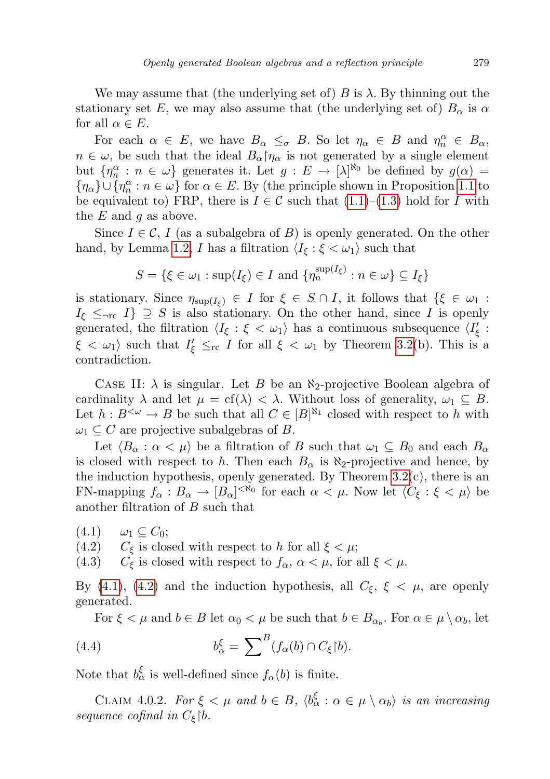We may assume that (the underlying set of) B is  $\lambda$ . By thinning out the stationary set E, we may also assume that (the underlying set of)  $B_{\alpha}$  is  $\alpha$ for all  $\alpha \in E$ .

For each  $\alpha \in E$ , we have  $B_{\alpha} \leq_{\sigma} B$ . So let  $\eta_{\alpha} \in B$  and  $\eta_{n}^{\alpha} \in B_{\alpha}$ ,  $n \in \omega$ , be such that the ideal  $B_{\alpha} \mid \eta_{\alpha}$  is not generated by a single element but  $\{\eta_n^{\alpha} : n \in \omega\}$  generates it. Let  $g : E \to [\lambda]^{\aleph_0}$  be defined by  $g(\alpha) =$  $\{\eta_{\alpha}\}\cup\{\eta_{n}^{\alpha}:n\in\omega\}$  for  $\alpha\in E$ . By (the principle shown in Proposition [1.1](#page-1-2) to be equivalent to) FRP, there is  $I \in \mathcal{C}$  such that  $(1.1)$ – $(1.3)$  hold for I with the  $E$  and  $q$  as above.

Since  $I \in \mathcal{C}$ , I (as a subalgebra of B) is openly generated. On the other hand, by Lemma [1.2,](#page-2-1) I has a filtration  $\langle I_{\xi} : \xi < \omega_1 \rangle$  such that

$$
S = \{ \xi \in \omega_1 : \sup(I_{\xi}) \in I \text{ and } \{ \eta_n^{\sup(I_{\xi})} : n \in \omega \} \subseteq I_{\xi} \}
$$

is stationary. Since  $\eta_{\sup(I_{\xi})} \in I$  for  $\xi \in S \cap I$ , it follows that  $\{\xi \in \omega_1 :$  $I_{\xi} \leq_{\neg \text{rc}} I$   $\supseteq S$  is also stationary. On the other hand, since I is openly generated, the filtration  $\langle I_{\xi} : \xi \langle \omega_1 \rangle$  has a continuous subsequence  $\langle I_{\xi}' \rangle$ :  $\xi < \omega_1$  such that  $I'_\xi \leq_{\rm rc} I$  for all  $\xi < \omega_1$  by Theorem [3.2\(](#page-12-0)b). This is a contradiction.

CASE II:  $\lambda$  is singular. Let B be an  $\aleph_2$ -projective Boolean algebra of cardinality  $\lambda$  and let  $\mu = \text{cf}(\lambda) < \lambda$ . Without loss of generality,  $\omega_1 \subseteq B$ . Let  $h: B^{\leq \omega} \to B$  be such that all  $C \in [B]^{\aleph_1}$  closed with respect to h with  $\omega_1 \subseteq C$  are projective subalgebras of B.

Let  $\langle B_\alpha : \alpha < \mu \rangle$  be a filtration of B such that  $\omega_1 \subseteq B_0$  and each  $B_\alpha$ is closed with respect to h. Then each  $B_{\alpha}$  is  $\aleph_2$ -projective and hence, by the induction hypothesis, openly generated. By Theorem  $3.2(c)$ , there is an FN-mapping  $f_{\alpha}: B_{\alpha} \to [B_{\alpha}]^{<\aleph_0}$  for each  $\alpha < \mu$ . Now let  $\langle C_{\xi} : \xi < \mu \rangle$  be another filtration of B such that

<span id="page-18-0"></span> $(4.1)$   $\omega_1 \subseteq C_0;$ 

<span id="page-18-1"></span>(4.2) C<sub> $\xi$ </sub> is closed with respect to h for all  $\xi < \mu$ ;

<span id="page-18-3"></span>(4.3) C<sub>ξ</sub> is closed with respect to  $f_{\alpha}$ ,  $\alpha < \mu$ , for all  $\xi < \mu$ .

By [\(4.1\)](#page-18-0), [\(4.2\)](#page-18-1) and the induction hypothesis, all  $C_{\xi}$ ,  $\xi < \mu$ , are openly generated.

<span id="page-18-2"></span>For  $\xi < \mu$  and  $b \in B$  let  $\alpha_0 < \mu$  be such that  $b \in B_{\alpha_b}$ . For  $\alpha \in \mu \setminus \alpha_b$ , let

(4.4) 
$$
b_{\alpha}^{\xi} = \sum^{B} (f_{\alpha}(b) \cap C_{\xi} | b).
$$

Note that  $b_{\alpha}^{\xi}$  is well-defined since  $f_{\alpha}(b)$  is finite.

<span id="page-18-4"></span>CLAIM 4.0.2. For  $\xi < \mu$  and  $b \in B$ ,  $\langle b_{\alpha}^{\xi} : \alpha \in \mu \setminus \alpha_b \rangle$  is an increasing sequence cofinal in  $C_{\xi}$  |b.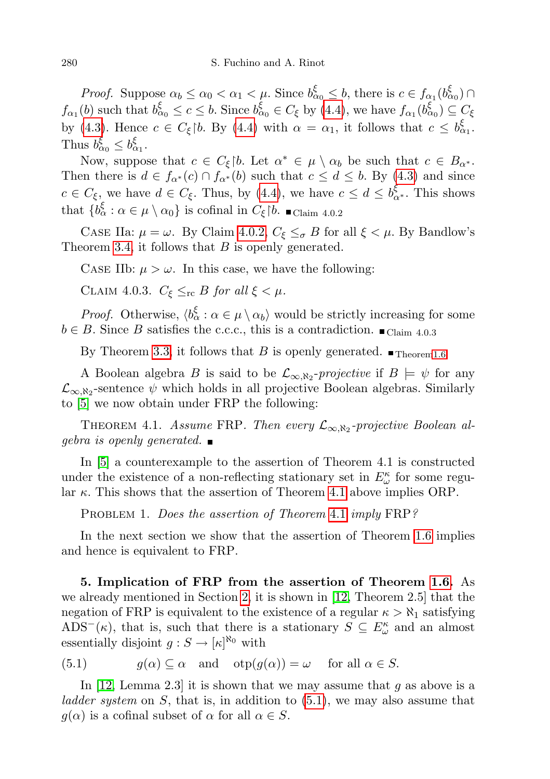*Proof.* Suppose  $\alpha_b \leq \alpha_0 < \alpha_1 < \mu$ . Since  $b_{\alpha_0}^{\xi} \leq b$ , there is  $c \in f_{\alpha_1}(b_{\alpha_0}^{\xi})$  $f_{\alpha_1}(b)$  such that  $b_{\alpha_0}^{\xi} \leq c \leq b$ . Since  $b_{\alpha_0}^{\xi} \in C_{\xi}$  by [\(4.4\)](#page-18-2), we have  $f_{\alpha_1}(b_{\alpha_0}^{\xi}) \subseteq C_{\xi}$ by [\(4.3\)](#page-18-3). Hence  $c \in C_{\xi}$  [b. By [\(4.4\)](#page-18-2) with  $\alpha = \alpha_1$ , it follows that  $c \leq b_{\alpha_1}^{\xi}$ . Thus  $b_{\alpha_0}^{\xi} \leq b_{\alpha_1}^{\xi}$ .

Now, suppose that  $c \in C_{\xi} \mid b$ . Let  $\alpha^* \in \mu \setminus \alpha_b$  be such that  $c \in B_{\alpha^*}$ . Then there is  $d \in f_{\alpha^*}(c) \cap f_{\alpha^*}(b)$  such that  $c \leq d \leq b$ . By [\(4.3\)](#page-18-3) and since  $c \in C_{\xi}$ , we have  $d \in C_{\xi}$ . Thus, by [\(4.4\)](#page-18-2), we have  $c \leq d \leq b_{\alpha^*}^{\xi}$ . This shows that  $\{b_{\alpha}^{\xi} : \alpha \in \mu \setminus \alpha_0\}$  is cofinal in  $C_{\xi}$  |b.  $\blacksquare$  Claim 4.0.2

CASE IIa:  $\mu = \omega$ . By Claim [4.0.2,](#page-18-4)  $C_{\xi} \leq_{\sigma} B$  for all  $\xi < \mu$ . By Bandlow's Theorem [3.4,](#page-12-2) it follows that  $B$  is openly generated.

CASE IIb:  $\mu > \omega$ . In this case, we have the following:

CLAIM 4.0.3.  $C_{\xi} \leq_{\text{rc}} B$  for all  $\xi < \mu$ .

*Proof.* Otherwise,  $\langle b_{\alpha}^{\xi} : \alpha \in \mu \setminus \alpha_b \rangle$  would be strictly increasing for some  $b \in B$ . Since B satisfies the c.c.c., this is a contradiction.  $\blacksquare$  Claim 4.0.3

By Theorem [3.3,](#page-12-1) it follows that B is openly generated.  $\blacksquare_{\text{Theorem 1.6}}$ 

A Boolean algebra B is said to be  $\mathcal{L}_{\infty,\aleph_2}$ -projective if  $B \models \psi$  for any  $\mathcal{L}_{\infty,\aleph_2}$ -sentence  $\psi$  which holds in all projective Boolean algebras. Similarly to [\[5\]](#page-21-3) we now obtain under FRP the following:

<span id="page-19-1"></span>THEOREM 4.1. Assume FRP. Then every  $\mathcal{L}_{\infty,\aleph_2}$ -projective Boolean algebra is openly generated.

In [\[5\]](#page-21-3) a counterexample to the assertion of Theorem 4.1 is constructed under the existence of a non-reflecting stationary set in  $E^{\kappa}_{\omega}$  for some regular  $\kappa$ . This shows that the assertion of Theorem [4.1](#page-19-1) above implies ORP.

PROBLEM 1. Does the assertion of Theorem [4.1](#page-19-1) imply FRP?

In the next section we show that the assertion of Theorem [1.6](#page-4-1) implies and hence is equivalent to FRP.

<span id="page-19-0"></span>5. Implication of FRP from the assertion of Theorem [1.6.](#page-4-1) As we already mentioned in Section [2,](#page-5-0) it is shown in [\[12,](#page-22-1) Theorem 2.5] that the negation of FRP is equivalent to the existence of a regular  $\kappa > \aleph_1$  satisfying  $ADS<sup>-</sup>(\kappa)$ , that is, such that there is a stationary  $S \subseteq E_{\omega}^{\kappa}$  and an almost essentially disjoint  $g: S \to [\kappa]^{\aleph_0}$  with

<span id="page-19-2"></span>(5.1)  $q(\alpha) \subseteq \alpha$  and  $otp(q(\alpha)) = \omega$  for all  $\alpha \in S$ .

<span id="page-19-3"></span>In [\[12,](#page-22-1) Lemma 2.3] it is shown that we may assume that  $q$  as above is a ladder system on  $S$ , that is, in addition to  $(5.1)$ , we may also assume that  $g(\alpha)$  is a cofinal subset of  $\alpha$  for all  $\alpha \in S$ .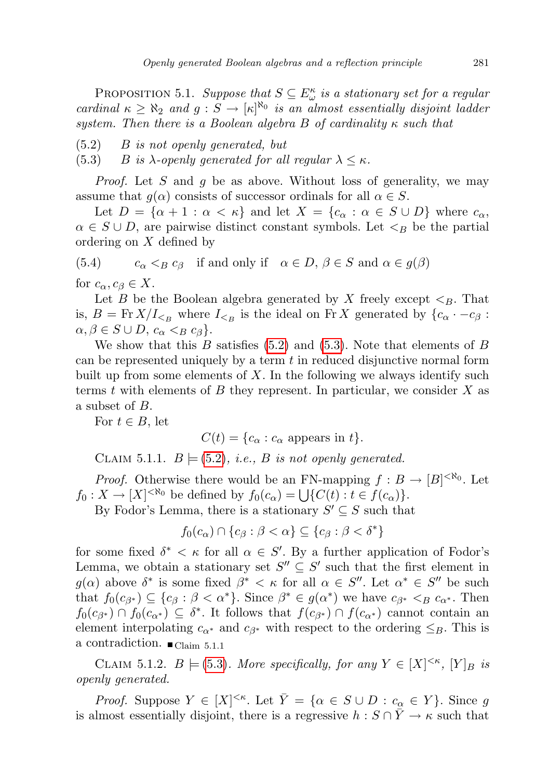PROPOSITION 5.1. Suppose that  $S \subseteq E_{\omega}^{\kappa}$  is a stationary set for a regular cardinal  $\kappa \geq \aleph_2$  and  $g : S \to [\kappa]^{\aleph_0}$  is an almost essentially disjoint ladder system. Then there is a Boolean algebra B of cardinality  $\kappa$  such that

- <span id="page-20-0"></span> $(5.2)$  B is not openly generated, but
- <span id="page-20-1"></span>(5.3) B is  $\lambda$ -openly generated for all regular  $\lambda \leq \kappa$ .

*Proof.* Let S and q be as above. Without loss of generality, we may assume that  $g(\alpha)$  consists of successor ordinals for all  $\alpha \in S$ .

Let  $D = {\alpha + 1 : \alpha < \kappa}$  and let  $X = {c_{\alpha} : \alpha \in S \cup D}$  where  $c_{\alpha}$ ,  $\alpha \in S \cup D$ , are pairwise distinct constant symbols. Let  $\lt_B$  be the partial ordering on X defined by

(5.4) 
$$
c_{\alpha} <_{B} c_{\beta}
$$
 if and only if  $\alpha \in D, \beta \in S$  and  $\alpha \in g(\beta)$ 

for  $c_{\alpha}, c_{\beta} \in X$ .

Let B be the Boolean algebra generated by X freely except  $\lt_B$ . That is,  $B = \text{Fr } X/I_{\leq_B}$  where  $I_{\leq_B}$  is the ideal on Fr X generated by  $\{c_{\alpha} \cdot -c_{\beta} :$  $\alpha, \beta \in S \cup D$ ,  $c_{\alpha} < B c_{\beta}$ .

We show that this  $B$  satisfies [\(5.2\)](#page-20-0) and [\(5.3\)](#page-20-1). Note that elements of  $B$ can be represented uniquely by a term  $t$  in reduced disjunctive normal form built up from some elements of  $X$ . In the following we always identify such terms t with elements of B they represent. In particular, we consider X as a subset of B.

For  $t \in B$ , let

$$
C(t) = \{c_{\alpha} : c_{\alpha} \text{ appears in } t\}.
$$

CLAIM 5.1.1.  $B = (5.2)$  $B = (5.2)$ , i.e., B is not openly generated.

*Proof.* Otherwise there would be an FN-mapping  $f : B \to [B]^{<\aleph_0}$ . Let  $f_0: X \to [X]^{< \aleph_0}$  be defined by  $f_0(c_\alpha) = \bigcup \{C(t) : t \in f(c_\alpha)\}.$ 

By Fodor's Lemma, there is a stationary  $S' \subseteq S$  such that

$$
f_0(c_{\alpha}) \cap \{c_{\beta} : \beta < \alpha\} \subseteq \{c_{\beta} : \beta < \delta^*\}
$$

for some fixed  $\delta^* < \kappa$  for all  $\alpha \in S'$ . By a further application of Fodor's Lemma, we obtain a stationary set  $S'' \subseteq S'$  such that the first element in  $g(\alpha)$  above  $\delta^*$  is some fixed  $\beta^* < \kappa$  for all  $\alpha \in S''$ . Let  $\alpha^* \in S''$  be such that  $f_0(c_{\beta^*}) \subseteq \{c_{\beta} : \beta < \alpha^*\}$ . Since  $\beta^* \in g(\alpha^*)$  we have  $c_{\beta^*} <_{B} c_{\alpha^*}$ . Then  $f_0(c_{\beta^*}) \cap f_0(c_{\alpha^*}) \subseteq \delta^*$ . It follows that  $f(c_{\beta^*}) \cap f(c_{\alpha^*})$  cannot contain an element interpolating  $c_{\alpha^*}$  and  $c_{\beta^*}$  with respect to the ordering  $\leq_B$ . This is a contradiction.  $\blacksquare$  Claim 5.1.1

CLAIM 5.1.2.  $B \models (5.3)$  $B \models (5.3)$ . More specifically, for any  $Y \in [X]^{<\kappa}$ ,  $[Y]_B$  is openly generated.

*Proof.* Suppose  $Y \in [X]^{<\kappa}$ . Let  $\overline{Y} = \{\alpha \in S \cup D : c_{\alpha} \in Y\}$ . Since g is almost essentially disjoint, there is a regressive  $h : S \cap Y \to \kappa$  such that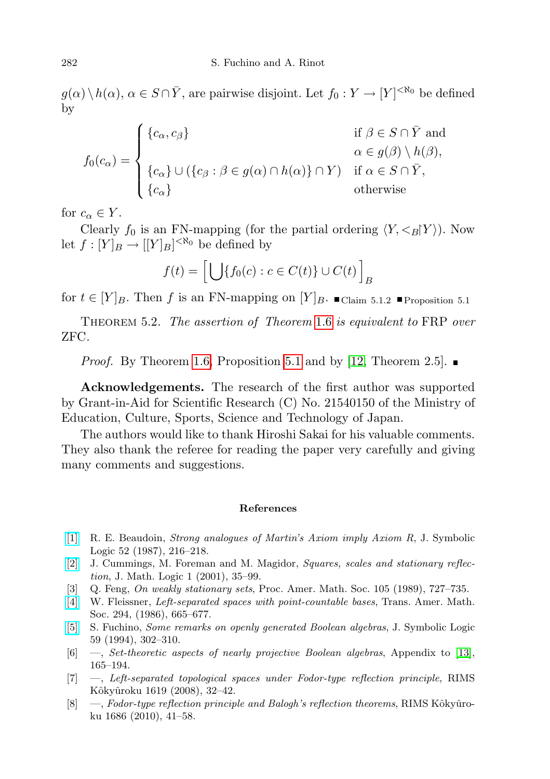$g(\alpha) \setminus h(\alpha), \, \alpha \in S \cap \bar{Y}$ , are pairwise disjoint. Let  $f_0: Y \to [Y]^{<\aleph_0}$  be defined by

$$
f_0(c_{\alpha}) = \begin{cases} \{c_{\alpha}, c_{\beta}\} & \text{if } \beta \in S \cap \bar{Y} \text{ and} \\ & \alpha \in g(\beta) \setminus h(\beta), \\ \{c_{\alpha}\} \cup (\{c_{\beta} : \beta \in g(\alpha) \cap h(\alpha)\} \cap Y) & \text{if } \alpha \in S \cap \bar{Y}, \\ \{c_{\alpha}\} & \text{otherwise} \end{cases}
$$

for  $c_{\alpha} \in Y$ .

Clearly  $f_0$  is an FN-mapping (for the partial ordering  $\langle Y, \langle B|Y \rangle$ ). Now let  $f: [Y]_B \to [[Y]_B]^{<\aleph_0}$  be defined by

$$
f(t) = \left[ \bigcup \{ f_0(c) : c \in C(t) \} \cup C(t) \right]_B
$$

for  $t \in [Y]_B$ . Then f is an FN-mapping on  $[Y]_B$ . Claim 5.1.2 Proposition 5.1

<span id="page-21-4"></span>THEOREM 5.2. The assertion of Theorem [1.6](#page-4-1) is equivalent to FRP over ZFC.

*Proof.* By Theorem [1.6,](#page-4-1) Proposition [5.1](#page-19-3) and by [\[12,](#page-22-1) Theorem 2.5].  $\blacksquare$ 

Acknowledgements. The research of the first author was supported by Grant-in-Aid for Scientific Research (C) No. 21540150 of the Ministry of Education, Culture, Sports, Science and Technology of Japan.

The authors would like to thank Hiroshi Sakai for his valuable comments. They also thank the referee for reading the paper very carefully and giving many comments and suggestions.

## References

- <span id="page-21-5"></span>[\[1\]](http://dx.doi.org/10.2307/2273877) R. E. Beaudoin, Strong analogues of Martin's Axiom imply Axiom R, J. Symbolic Logic 52 (1987), 216–218.
- <span id="page-21-7"></span>[\[2\]](http://dx.doi.org/10.1142/S021906130100003X) J. Cummings, M. Foreman and M. Magidor, Squares, scales and stationary reflection, J. Math. Logic 1 (2001), 35–99.
- <span id="page-21-8"></span>[3] Q. Feng, On weakly stationary sets, Proc. Amer. Math. Soc. 105 (1989), 727–735.
- <span id="page-21-2"></span>[\[4\]](http://dx.doi.org/10.1090/S0002-9947-1986-0825729-X) W. Fleissner, Left-separated spaces with point-countable bases, Trans. Amer. Math. Soc. 294, (1986), 665–677.
- <span id="page-21-3"></span>[\[5\]](http://dx.doi.org/10.2307/2275267) S. Fuchino, Some remarks on openly generated Boolean algebras, J. Symbolic Logic 59 (1994), 302–310.
- <span id="page-21-6"></span>[6] —, Set-theoretic aspects of nearly projective Boolean algebras, Appendix to [\[13\]](#page-22-5), 165–194.
- <span id="page-21-0"></span>[7] —, Left-separated topological spaces under Fodor-type reflection principle, RIMS Kôkyûroku 1619 (2008), 32-42.
- <span id="page-21-1"></span> $[8] \quad$ —, Fodor-type reflection principle and Balogh's reflection theorems, RIMS Kôkyûroku 1686 (2010), 41–58.